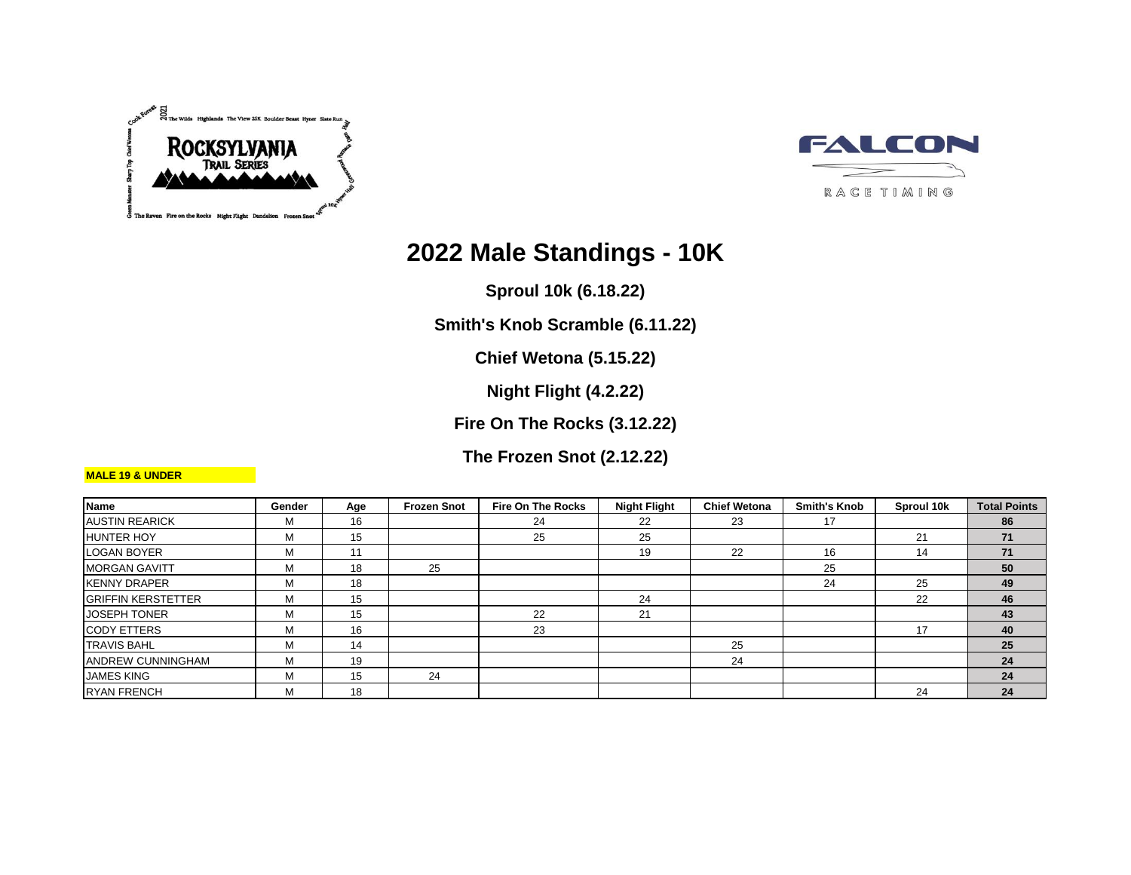



# **2022 Male Standings - 10K**

**Sproul 10k (6.18.22)**

**Smith's Knob Scramble (6.11.22)**

**Chief Wetona (5.15.22)**

**Night Flight (4.2.22)**

**Fire On The Rocks (3.12.22)**

**The Frozen Snot (2.12.22)**

| <b>Name</b>               | Gender | Age | <b>Frozen Snot</b> | <b>Fire On The Rocks</b> | <b>Night Flight</b> | <b>Chief Wetona</b> | <b>Smith's Knob</b> | Sproul 10k | <b>Total Points</b> |
|---------------------------|--------|-----|--------------------|--------------------------|---------------------|---------------------|---------------------|------------|---------------------|
| <b>AUSTIN REARICK</b>     | м      | 16  |                    | 24                       | 22                  | 23                  | 17                  |            | 86                  |
| <b>HUNTER HOY</b>         | м      | 15  |                    | 25                       | 25                  |                     |                     | 21         | 71                  |
| <b>LOGAN BOYER</b>        | М      | 11  |                    |                          | 19                  | 22                  | 16                  | 14         | 71                  |
| <b>MORGAN GAVITT</b>      | м      | 18  | 25                 |                          |                     |                     | 25                  |            | 50                  |
| <b>IKENNY DRAPER</b>      | м      | 18  |                    |                          |                     |                     | 24                  | 25         | 49                  |
| <b>GRIFFIN KERSTETTER</b> | М      | 15  |                    |                          | 24                  |                     |                     | 22         | 46                  |
| <b>JOSEPH TONER</b>       | М      | 15  |                    | 22                       | 21                  |                     |                     |            | 43                  |
| <b>CODY ETTERS</b>        | м      | 16  |                    | 23                       |                     |                     |                     | 17         | 40                  |
| <b>TRAVIS BAHL</b>        | м      | 14  |                    |                          |                     | 25                  |                     |            | 25                  |
| <b>ANDREW CUNNINGHAM</b>  | м      | 19  |                    |                          |                     | 24                  |                     |            | 24                  |
| <b>JAMES KING</b>         | м      | 15  | 24                 |                          |                     |                     |                     |            | 24                  |
| <b>RYAN FRENCH</b>        | м      | 18  |                    |                          |                     |                     |                     | 24         | 24                  |

#### **MALE 19 & UNDER**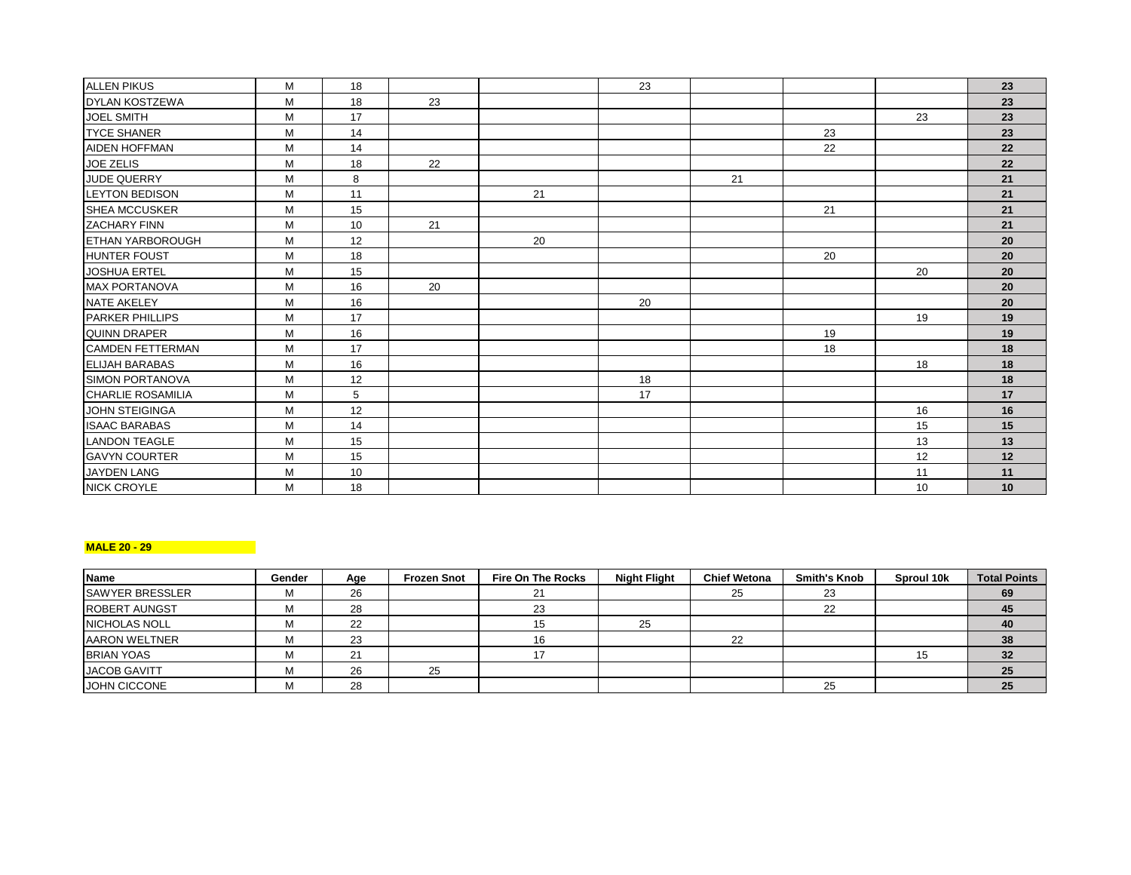| <b>ALLEN PIKUS</b>       | M | 18 |    |    | 23 |    |    |                  | 23 |
|--------------------------|---|----|----|----|----|----|----|------------------|----|
| <b>DYLAN KOSTZEWA</b>    | M | 18 | 23 |    |    |    |    |                  | 23 |
| <b>JOEL SMITH</b>        | M | 17 |    |    |    |    |    | 23               | 23 |
| <b>TYCE SHANER</b>       | M | 14 |    |    |    |    | 23 |                  | 23 |
| <b>AIDEN HOFFMAN</b>     | M | 14 |    |    |    |    | 22 |                  | 22 |
| JOE ZELIS                | M | 18 | 22 |    |    |    |    |                  | 22 |
| <b>JUDE QUERRY</b>       | M | 8  |    |    |    | 21 |    |                  | 21 |
| <b>LEYTON BEDISON</b>    | M | 11 |    | 21 |    |    |    |                  | 21 |
| <b>SHEA MCCUSKER</b>     | M | 15 |    |    |    |    | 21 |                  | 21 |
| <b>ZACHARY FINN</b>      | M | 10 | 21 |    |    |    |    |                  | 21 |
| <b>ETHAN YARBOROUGH</b>  | M | 12 |    | 20 |    |    |    |                  | 20 |
| <b>HUNTER FOUST</b>      | M | 18 |    |    |    |    | 20 |                  | 20 |
| <b>JOSHUA ERTEL</b>      | M | 15 |    |    |    |    |    | 20               | 20 |
| <b>MAX PORTANOVA</b>     | M | 16 | 20 |    |    |    |    |                  | 20 |
| <b>NATE AKELEY</b>       | M | 16 |    |    | 20 |    |    |                  | 20 |
| <b>PARKER PHILLIPS</b>   | M | 17 |    |    |    |    |    | 19               | 19 |
| <b>QUINN DRAPER</b>      | M | 16 |    |    |    |    | 19 |                  | 19 |
| <b>CAMDEN FETTERMAN</b>  | M | 17 |    |    |    |    | 18 |                  | 18 |
| <b>ELIJAH BARABAS</b>    | M | 16 |    |    |    |    |    | 18               | 18 |
| <b>SIMON PORTANOVA</b>   | M | 12 |    |    | 18 |    |    |                  | 18 |
| <b>CHARLIE ROSAMILIA</b> | M | 5  |    |    | 17 |    |    |                  | 17 |
| JOHN STEIGINGA           | M | 12 |    |    |    |    |    | 16               | 16 |
| <b>ISAAC BARABAS</b>     | M | 14 |    |    |    |    |    | 15               | 15 |
| <b>LANDON TEAGLE</b>     | M | 15 |    |    |    |    |    | 13               | 13 |
| <b>GAVYN COURTER</b>     | M | 15 |    |    |    |    |    | 12               | 12 |
| JAYDEN LANG              | M | 10 |    |    |    |    |    | 11               | 11 |
| <b>NICK CROYLE</b>       | M | 18 |    |    |    |    |    | 10 <sup>10</sup> | 10 |

# **MALE 20 - 29**

| <b>Name</b>            | Gender | Age | <b>Frozen Snot</b> | Fire On The Rocks | <b>Night Flight</b> | <b>Chief Wetona</b> | <b>Smith's Knob</b> | Sproul 10k | <b>Total Points</b> |
|------------------------|--------|-----|--------------------|-------------------|---------------------|---------------------|---------------------|------------|---------------------|
| <b>SAWYER BRESSLER</b> | IΜ     | 26  |                    |                   |                     | 25                  | 23                  |            | 69                  |
| <b>ROBERT AUNGST</b>   | IVI    | 28  |                    | 23                |                     |                     | 22                  |            | 45                  |
| NICHOLAS NOLL          | м      | 22  |                    | 15                | 25                  |                     |                     |            | 40                  |
| <b>AARON WELTNER</b>   | м      | 23  |                    | 16                |                     | 22                  |                     |            | 38                  |
| <b>BRIAN YOAS</b>      | м      | 21  |                    |                   |                     |                     |                     |            | 32                  |
| <b>JACOB GAVITT</b>    | IVI    | 26  | 25                 |                   |                     |                     |                     |            | 25                  |
| JOHN CICCONE           | м      | 28  |                    |                   |                     |                     | 25                  |            | 25                  |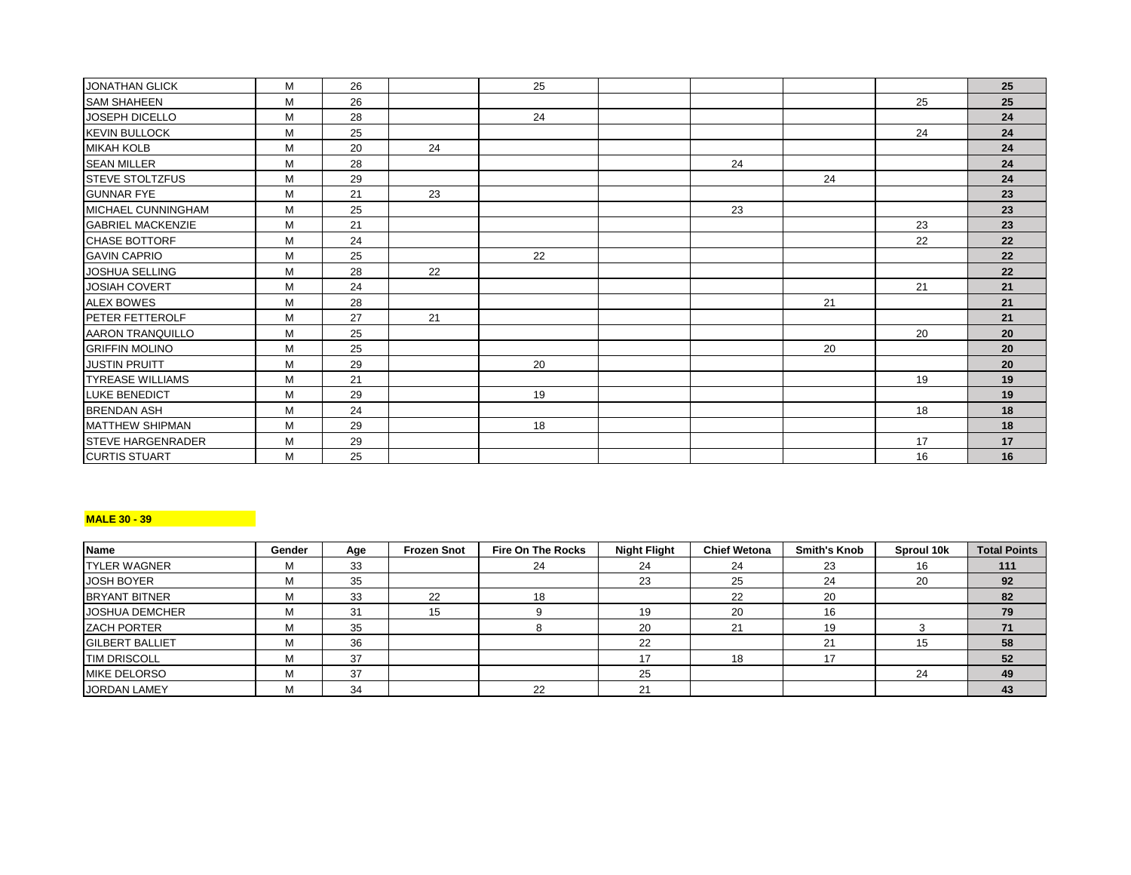| M | 26 |    | 25 |    |    |    | 25 |
|---|----|----|----|----|----|----|----|
| M | 26 |    |    |    |    | 25 | 25 |
| M | 28 |    | 24 |    |    |    | 24 |
| M | 25 |    |    |    |    | 24 | 24 |
| M | 20 | 24 |    |    |    |    | 24 |
| M | 28 |    |    | 24 |    |    | 24 |
| M | 29 |    |    |    | 24 |    | 24 |
| M | 21 | 23 |    |    |    |    | 23 |
| M | 25 |    |    | 23 |    |    | 23 |
| M | 21 |    |    |    |    | 23 | 23 |
| M | 24 |    |    |    |    | 22 | 22 |
| M | 25 |    | 22 |    |    |    | 22 |
| м | 28 | 22 |    |    |    |    | 22 |
| м | 24 |    |    |    |    | 21 | 21 |
| M | 28 |    |    |    | 21 |    | 21 |
| M | 27 | 21 |    |    |    |    | 21 |
| М | 25 |    |    |    |    | 20 | 20 |
| M | 25 |    |    |    | 20 |    | 20 |
| M | 29 |    | 20 |    |    |    | 20 |
| M | 21 |    |    |    |    | 19 | 19 |
| M | 29 |    | 19 |    |    |    | 19 |
| M | 24 |    |    |    |    | 18 | 18 |
| М | 29 |    | 18 |    |    |    | 18 |
| M | 29 |    |    |    |    | 17 | 17 |
| M | 25 |    |    |    |    | 16 | 16 |
|   |    |    |    |    |    |    |    |

## **MALE 30 - 39**

| <b>Name</b>            | Gender | Age | <b>Frozen Snot</b> | Fire On The Rocks | <b>Night Flight</b> | <b>Chief Wetona</b> | <b>Smith's Knob</b> | Sproul 10k | <b>Total Points</b> |
|------------------------|--------|-----|--------------------|-------------------|---------------------|---------------------|---------------------|------------|---------------------|
| <b>TYLER WAGNER</b>    |        | 33  |                    | 24                | 24                  | 24                  | 23                  | 16         | 111                 |
| <b>JOSH BOYER</b>      |        | 35  |                    |                   | 23                  | 25                  | 24                  | 20         | 92                  |
| <b>BRYANT BITNER</b>   | м      | 33  | 22                 | 18                |                     | 22                  | 20                  |            | 82                  |
| <b>JOSHUA DEMCHER</b>  |        | 31  | 15                 |                   | 19                  | 20                  | 16                  |            | 79                  |
| <b>ZACH PORTER</b>     |        | 35  |                    |                   | 20                  | 21                  | 19                  |            |                     |
| <b>GILBERT BALLIET</b> |        | 36  |                    |                   | 22                  |                     | 21                  |            | 58                  |
| <b>TIM DRISCOLL</b>    |        | 37  |                    |                   |                     | 18                  | 17                  |            | 52                  |
| <b>IMIKE DELORSO</b>   | м      | 37  |                    |                   | 25                  |                     |                     | 24         | 49                  |
| JORDAN LAMEY           | м      | 34  |                    | 22                | 24                  |                     |                     |            | 43                  |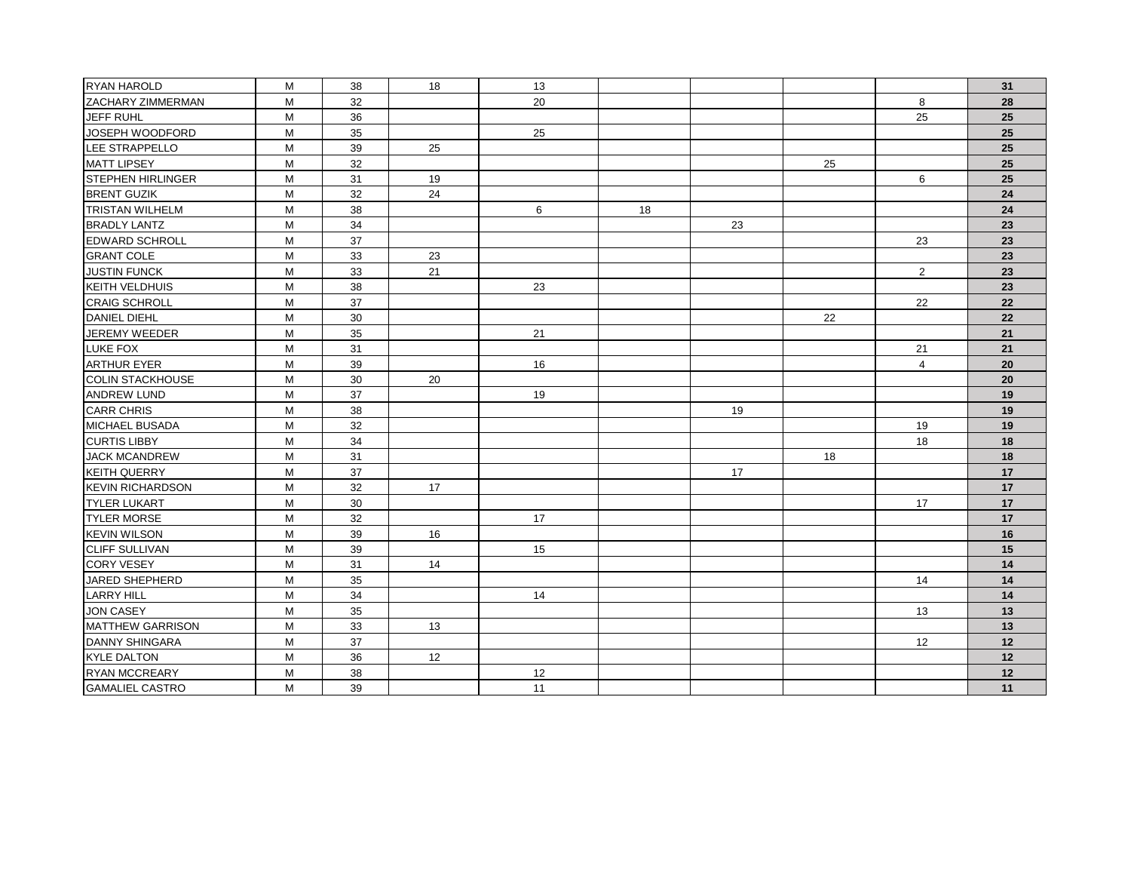| RYAN HAROLD              | M | 38 | 18 | 13 |    |    |    |                | 31 |
|--------------------------|---|----|----|----|----|----|----|----------------|----|
| <b>ZACHARY ZIMMERMAN</b> | M | 32 |    | 20 |    |    |    | 8              | 28 |
| JEFF RUHL                | M | 36 |    |    |    |    |    | 25             | 25 |
| JOSEPH WOODFORD          | M | 35 |    | 25 |    |    |    |                | 25 |
| LEE STRAPPELLO           | M | 39 | 25 |    |    |    |    |                | 25 |
| <b>MATT LIPSEY</b>       | M | 32 |    |    |    |    | 25 |                | 25 |
| <b>STEPHEN HIRLINGER</b> | M | 31 | 19 |    |    |    |    | 6              | 25 |
| <b>BRENT GUZIK</b>       | M | 32 | 24 |    |    |    |    |                | 24 |
| <b>TRISTAN WILHELM</b>   | M | 38 |    | 6  | 18 |    |    |                | 24 |
| <b>BRADLY LANTZ</b>      | M | 34 |    |    |    | 23 |    |                | 23 |
| EDWARD SCHROLL           | M | 37 |    |    |    |    |    | 23             | 23 |
| <b>GRANT COLE</b>        | M | 33 | 23 |    |    |    |    |                | 23 |
| <b>JUSTIN FUNCK</b>      | М | 33 | 21 |    |    |    |    | $\overline{2}$ | 23 |
| <b>KEITH VELDHUIS</b>    | M | 38 |    | 23 |    |    |    |                | 23 |
| <b>CRAIG SCHROLL</b>     | M | 37 |    |    |    |    |    | 22             | 22 |
| <b>DANIEL DIEHL</b>      | M | 30 |    |    |    |    | 22 |                | 22 |
| JEREMY WEEDER            | M | 35 |    | 21 |    |    |    |                | 21 |
| <b>LUKE FOX</b>          | M | 31 |    |    |    |    |    | 21             | 21 |
| <b>ARTHUR EYER</b>       | M | 39 |    | 16 |    |    |    | $\overline{4}$ | 20 |
| <b>COLIN STACKHOUSE</b>  | M | 30 | 20 |    |    |    |    |                | 20 |
| <b>ANDREW LUND</b>       | M | 37 |    | 19 |    |    |    |                | 19 |
| <b>CARR CHRIS</b>        | M | 38 |    |    |    | 19 |    |                | 19 |
| <b>MICHAEL BUSADA</b>    | M | 32 |    |    |    |    |    | 19             | 19 |
| <b>CURTIS LIBBY</b>      | M | 34 |    |    |    |    |    | 18             | 18 |
| <b>JACK MCANDREW</b>     | M | 31 |    |    |    |    | 18 |                | 18 |
| <b>KEITH QUERRY</b>      | M | 37 |    |    |    | 17 |    |                | 17 |
| <b>KEVIN RICHARDSON</b>  | M | 32 | 17 |    |    |    |    |                | 17 |
| <b>TYLER LUKART</b>      | M | 30 |    |    |    |    |    | 17             | 17 |
| <b>TYLER MORSE</b>       | M | 32 |    | 17 |    |    |    |                | 17 |
| <b>KEVIN WILSON</b>      | M | 39 | 16 |    |    |    |    |                | 16 |
| <b>CLIFF SULLIVAN</b>    | M | 39 |    | 15 |    |    |    |                | 15 |
| <b>CORY VESEY</b>        | M | 31 | 14 |    |    |    |    |                | 14 |
| JARED SHEPHERD           | M | 35 |    |    |    |    |    | 14             | 14 |
| <b>LARRY HILL</b>        | M | 34 |    | 14 |    |    |    |                | 14 |
| <b>JON CASEY</b>         | M | 35 |    |    |    |    |    | 13             | 13 |
| <b>MATTHEW GARRISON</b>  | M | 33 | 13 |    |    |    |    |                | 13 |
| <b>DANNY SHINGARA</b>    | M | 37 |    |    |    |    |    | 12             | 12 |
| <b>KYLE DALTON</b>       | M | 36 | 12 |    |    |    |    |                | 12 |
| <b>RYAN MCCREARY</b>     | M | 38 |    | 12 |    |    |    |                | 12 |
| <b>GAMALIEL CASTRO</b>   | M | 39 |    | 11 |    |    |    |                | 11 |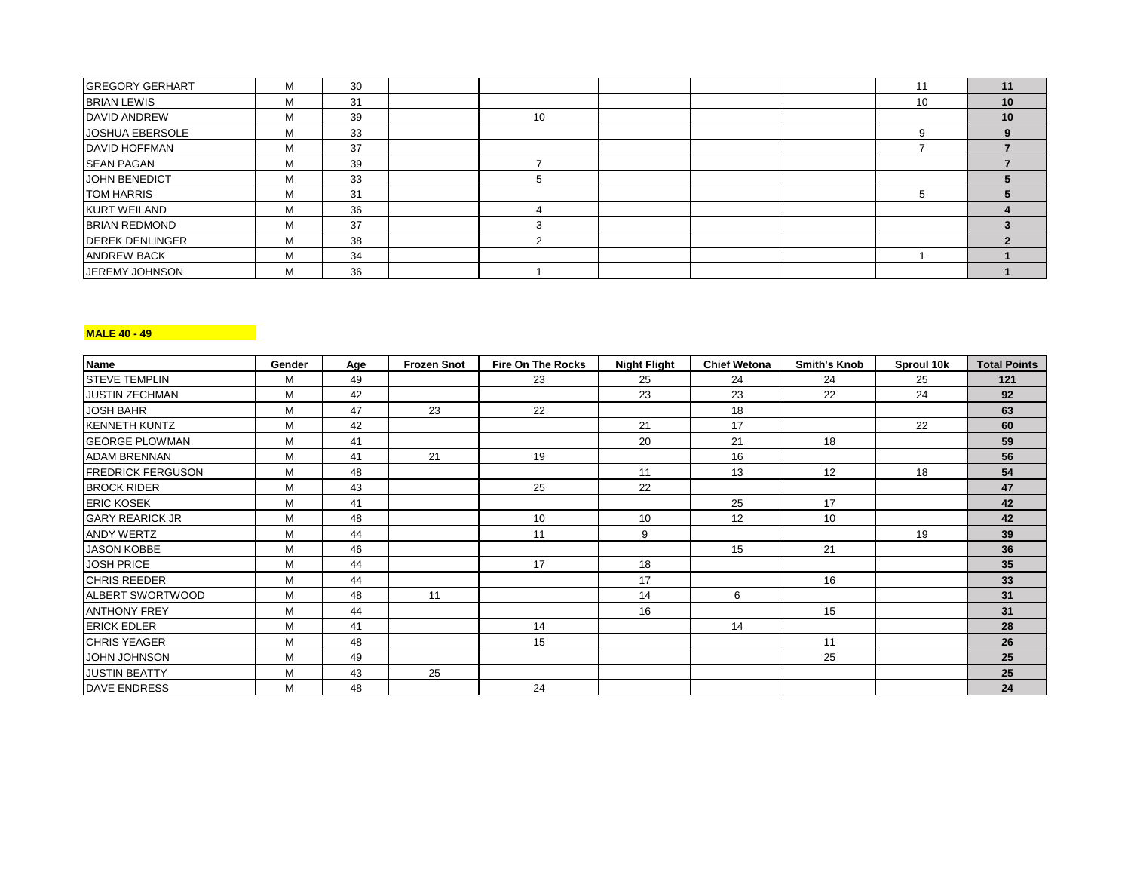| <b>GREGORY GERHART</b> | М | 30 |    |  |    | 11 |
|------------------------|---|----|----|--|----|----|
| <b>BRIAN LEWIS</b>     | M | 31 |    |  | 10 | 10 |
| <b>DAVID ANDREW</b>    | M | 39 | 10 |  |    | 10 |
| JOSHUA EBERSOLE        | м | 33 |    |  |    |    |
| <b>DAVID HOFFMAN</b>   | м | 37 |    |  |    |    |
| <b>SEAN PAGAN</b>      | M | 39 |    |  |    |    |
| JOHN BENEDICT          | м | 33 |    |  |    |    |
| <b>TOM HARRIS</b>      | M | 31 |    |  |    |    |
| <b>KURT WEILAND</b>    | M | 36 |    |  |    |    |
| <b>BRIAN REDMOND</b>   | M | 37 |    |  |    |    |
| <b>DEREK DENLINGER</b> | м | 38 |    |  |    |    |
| <b>ANDREW BACK</b>     | M | 34 |    |  |    |    |
| <b>JEREMY JOHNSON</b>  | M | 36 |    |  |    |    |

## **MALE 40 - 49**

| Name                     | Gender | Age | <b>Frozen Snot</b> | <b>Fire On The Rocks</b> | <b>Night Flight</b> | <b>Chief Wetona</b> | <b>Smith's Knob</b> | Sproul 10k | <b>Total Points</b> |
|--------------------------|--------|-----|--------------------|--------------------------|---------------------|---------------------|---------------------|------------|---------------------|
| <b>STEVE TEMPLIN</b>     | M      | 49  |                    | 23                       | 25                  | 24                  | 24                  | 25         | 121                 |
| <b>JUSTIN ZECHMAN</b>    | M      | 42  |                    |                          | 23                  | 23                  | 22                  | 24         | 92                  |
| <b>JOSH BAHR</b>         | M      | 47  | 23                 | 22                       |                     | 18                  |                     |            | 63                  |
| <b>KENNETH KUNTZ</b>     | M      | 42  |                    |                          | 21                  | 17                  |                     | 22         | 60                  |
| <b>GEORGE PLOWMAN</b>    | M      | 41  |                    |                          | 20                  | 21                  | 18                  |            | 59                  |
| <b>ADAM BRENNAN</b>      | M      | 41  | 21                 | 19                       |                     | 16                  |                     |            | 56                  |
| <b>FREDRICK FERGUSON</b> | M      | 48  |                    |                          | 11                  | 13                  | 12                  | 18         | 54                  |
| <b>BROCK RIDER</b>       | M      | 43  |                    | 25                       | 22                  |                     |                     |            | 47                  |
| <b>ERIC KOSEK</b>        | М      | 41  |                    |                          |                     | 25                  | 17                  |            | 42                  |
| <b>GARY REARICK JR</b>   | M      | 48  |                    | 10                       | 10                  | 12                  | 10                  |            | 42                  |
| <b>ANDY WERTZ</b>        | M      | 44  |                    | 11                       | 9                   |                     |                     | 19         | 39                  |
| <b>JASON KOBBE</b>       | М      | 46  |                    |                          |                     | 15                  | 21                  |            | 36                  |
| <b>JOSH PRICE</b>        | M      | 44  |                    | 17                       | 18                  |                     |                     |            | 35                  |
| <b>CHRIS REEDER</b>      | M      | 44  |                    |                          | 17                  |                     | 16                  |            | 33                  |
| ALBERT SWORTWOOD         | M      | 48  | 11                 |                          | 14                  | 6                   |                     |            | 31                  |
| <b>ANTHONY FREY</b>      | M      | 44  |                    |                          | 16                  |                     | 15                  |            | 31                  |
| <b>ERICK EDLER</b>       | M      | 41  |                    | 14                       |                     | 14                  |                     |            | 28                  |
| <b>CHRIS YEAGER</b>      | M      | 48  |                    | 15                       |                     |                     | 11                  |            | 26                  |
| JOHN JOHNSON             | M      | 49  |                    |                          |                     |                     | 25                  |            | 25                  |
| <b>JUSTIN BEATTY</b>     | М      | 43  | 25                 |                          |                     |                     |                     |            | 25                  |
| <b>DAVE ENDRESS</b>      | М      | 48  |                    | 24                       |                     |                     |                     |            | 24                  |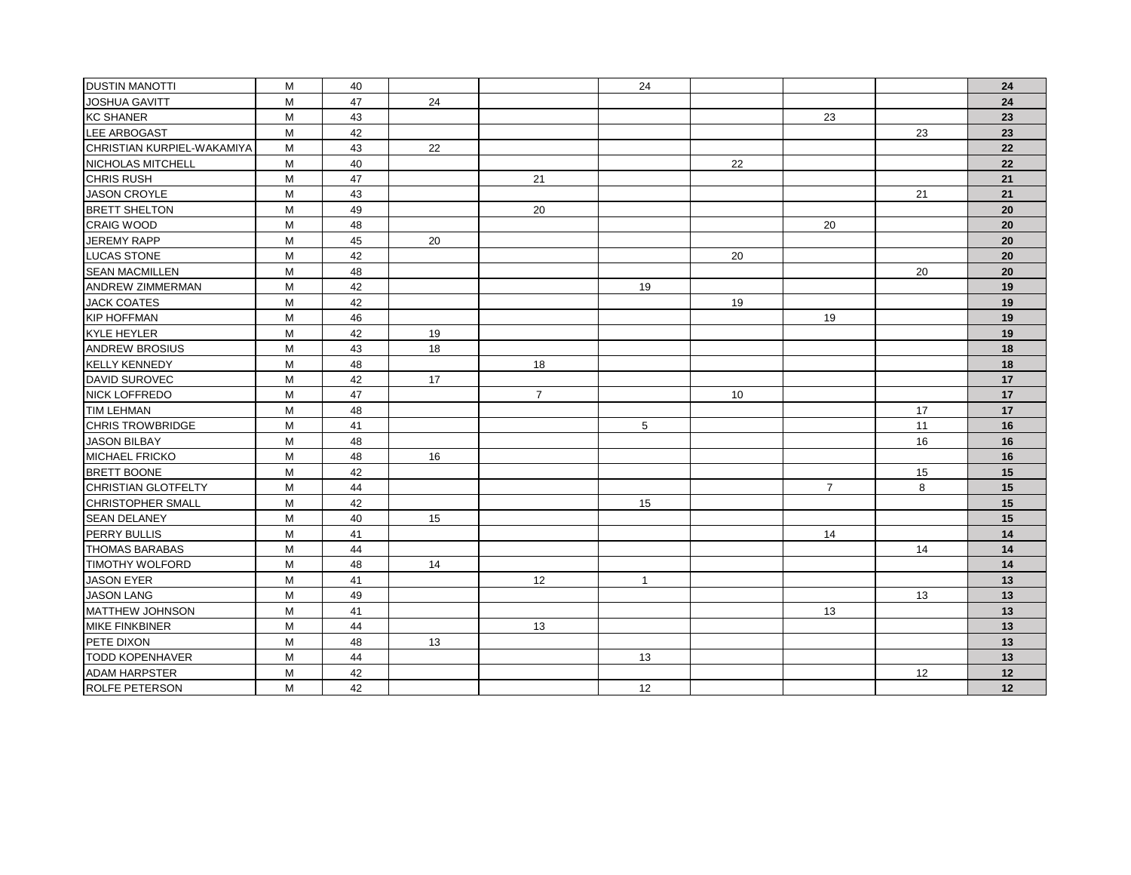| <b>DUSTIN MANOTTI</b>      | М | 40 |    |                | 24           |    |                 |    | 24 |
|----------------------------|---|----|----|----------------|--------------|----|-----------------|----|----|
| JOSHUA GAVITT              | M | 47 | 24 |                |              |    |                 |    | 24 |
| <b>KC SHANER</b>           | M | 43 |    |                |              |    | 23              |    | 23 |
| LEE ARBOGAST               | M | 42 |    |                |              |    |                 | 23 | 23 |
| CHRISTIAN KURPIEL-WAKAMIYA | M | 43 | 22 |                |              |    |                 |    | 22 |
| NICHOLAS MITCHELL          | М | 40 |    |                |              | 22 |                 |    | 22 |
| <b>CHRIS RUSH</b>          | M | 47 |    | 21             |              |    |                 |    | 21 |
| <b>JASON CROYLE</b>        | M | 43 |    |                |              |    |                 | 21 | 21 |
| <b>BRETT SHELTON</b>       | M | 49 |    | 20             |              |    |                 |    | 20 |
| <b>CRAIG WOOD</b>          | M | 48 |    |                |              |    | 20              |    | 20 |
| JEREMY RAPP                | M | 45 | 20 |                |              |    |                 |    | 20 |
| LUCAS STONE                | M | 42 |    |                |              | 20 |                 |    | 20 |
| <b>SEAN MACMILLEN</b>      | M | 48 |    |                |              |    |                 | 20 | 20 |
| <b>ANDREW ZIMMERMAN</b>    | M | 42 |    |                | 19           |    |                 |    | 19 |
| <b>JACK COATES</b>         | M | 42 |    |                |              | 19 |                 |    | 19 |
| <b>KIP HOFFMAN</b>         | M | 46 |    |                |              |    | 19              |    | 19 |
| <b>KYLE HEYLER</b>         | M | 42 | 19 |                |              |    |                 |    | 19 |
| <b>ANDREW BROSIUS</b>      | M | 43 | 18 |                |              |    |                 |    | 18 |
| <b>KELLY KENNEDY</b>       | M | 48 |    | 18             |              |    |                 |    | 18 |
| DAVID SUROVEC              | M | 42 | 17 |                |              |    |                 |    | 17 |
| NICK LOFFREDO              | M | 47 |    | $\overline{7}$ |              | 10 |                 |    | 17 |
| <b>TIM LEHMAN</b>          | M | 48 |    |                |              |    |                 | 17 | 17 |
| <b>CHRIS TROWBRIDGE</b>    | M | 41 |    |                | 5            |    |                 | 11 | 16 |
| <b>JASON BILBAY</b>        | M | 48 |    |                |              |    |                 | 16 | 16 |
| <b>MICHAEL FRICKO</b>      | M | 48 | 16 |                |              |    |                 |    | 16 |
| <b>BRETT BOONE</b>         | M | 42 |    |                |              |    |                 | 15 | 15 |
| CHRISTIAN GLOTFELTY        | M | 44 |    |                |              |    | $7\overline{ }$ | 8  | 15 |
| CHRISTOPHER SMALL          | M | 42 |    |                | 15           |    |                 |    | 15 |
| <b>SEAN DELANEY</b>        | M | 40 | 15 |                |              |    |                 |    | 15 |
| PERRY BULLIS               | M | 41 |    |                |              |    | 14              |    | 14 |
| <b>THOMAS BARABAS</b>      | M | 44 |    |                |              |    |                 | 14 | 14 |
| <b>TIMOTHY WOLFORD</b>     | M | 48 | 14 |                |              |    |                 |    | 14 |
| JASON EYER                 | M | 41 |    | 12             | $\mathbf{1}$ |    |                 |    | 13 |
| <b>JASON LANG</b>          | M | 49 |    |                |              |    |                 | 13 | 13 |
| <b>MATTHEW JOHNSON</b>     | M | 41 |    |                |              |    | 13              |    | 13 |
| <b>MIKE FINKBINER</b>      | M | 44 |    | 13             |              |    |                 |    | 13 |
| PETE DIXON                 | M | 48 | 13 |                |              |    |                 |    | 13 |
| <b>TODD KOPENHAVER</b>     | M | 44 |    |                | 13           |    |                 |    | 13 |
| <b>ADAM HARPSTER</b>       | M | 42 |    |                |              |    |                 | 12 | 12 |
| <b>ROLFE PETERSON</b>      | M | 42 |    |                | 12           |    |                 |    | 12 |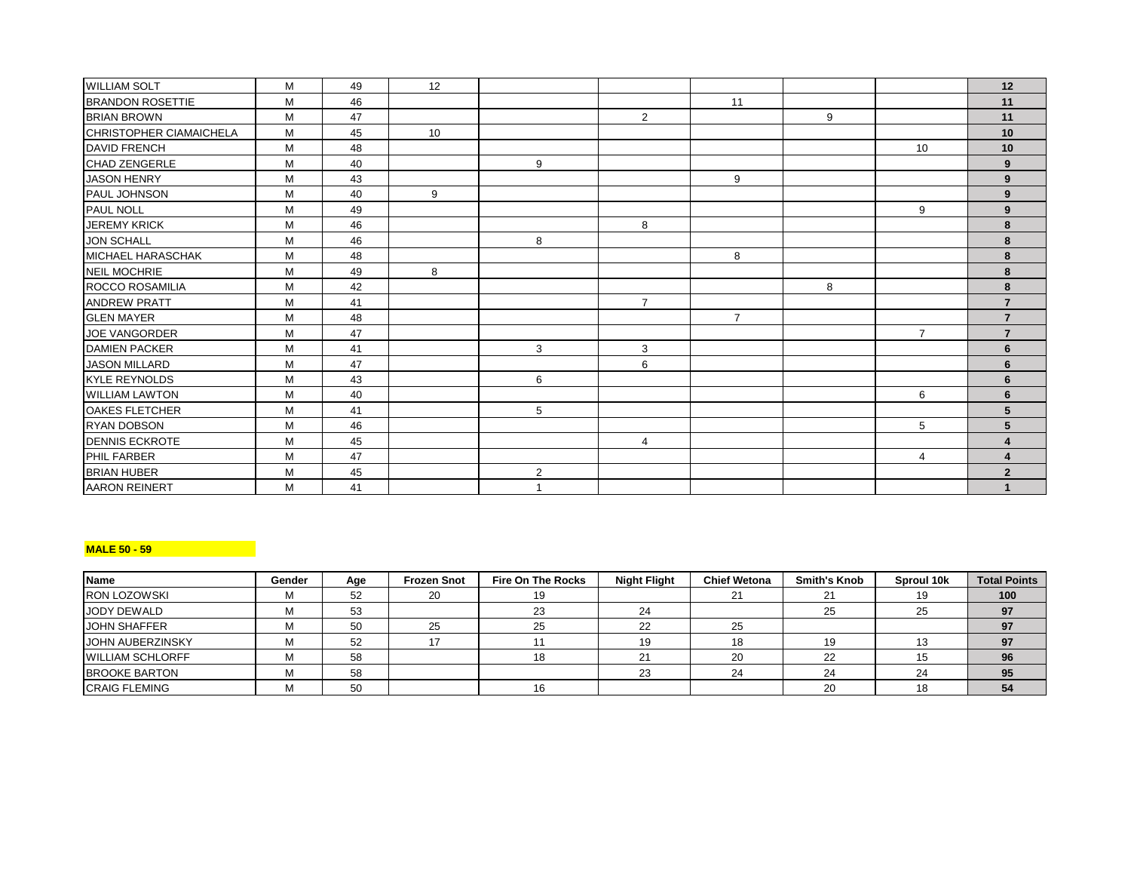| <b>WILLIAM SOLT</b>      | M | 49 | 12 |   |                |                |   |                | 12                     |
|--------------------------|---|----|----|---|----------------|----------------|---|----------------|------------------------|
| <b>BRANDON ROSETTIE</b>  | M | 46 |    |   |                | 11             |   |                | 11                     |
| <b>BRIAN BROWN</b>       | M | 47 |    |   | $\overline{2}$ |                | 9 |                | 11                     |
| CHRISTOPHER CIAMAICHELA  | M | 45 | 10 |   |                |                |   |                | 10                     |
| <b>DAVID FRENCH</b>      | M | 48 |    |   |                |                |   | 10             | 10                     |
| <b>CHAD ZENGERLE</b>     | M | 40 |    | 9 |                |                |   |                | 9                      |
| <b>JASON HENRY</b>       | M | 43 |    |   |                | 9              |   |                | 9                      |
| <b>PAUL JOHNSON</b>      | M | 40 | 9  |   |                |                |   |                | 9                      |
| PAUL NOLL                | M | 49 |    |   |                |                |   | 9              | 9                      |
| JEREMY KRICK             | M | 46 |    |   | 8              |                |   |                | 8                      |
| <b>JON SCHALL</b>        | M | 46 |    | 8 |                |                |   |                | 8                      |
| <b>MICHAEL HARASCHAK</b> | M | 48 |    |   |                | 8              |   |                | 8                      |
| <b>NEIL MOCHRIE</b>      | M | 49 | 8  |   |                |                |   |                | 8                      |
| ROCCO ROSAMILIA          | M | 42 |    |   |                |                | 8 |                | 8                      |
| <b>ANDREW PRATT</b>      | M | 41 |    |   | $\overline{7}$ |                |   |                | $\overline{7}$         |
| <b>GLEN MAYER</b>        | M | 48 |    |   |                | $\overline{7}$ |   |                | $\overline{7}$         |
| JOE VANGORDER            | M | 47 |    |   |                |                |   | $\overline{7}$ | $\overline{7}$         |
| <b>DAMIEN PACKER</b>     | M | 41 |    | 3 | 3              |                |   |                | 6                      |
| <b>JASON MILLARD</b>     | M | 47 |    |   | 6              |                |   |                | 6                      |
| <b>KYLE REYNOLDS</b>     | M | 43 |    | 6 |                |                |   |                | 6                      |
| <b>WILLIAM LAWTON</b>    | M | 40 |    |   |                |                |   | 6              | 6                      |
| OAKES FLETCHER           | M | 41 |    | 5 |                |                |   |                | 5                      |
| <b>RYAN DOBSON</b>       | M | 46 |    |   |                |                |   | 5              | 5                      |
| <b>IDENNIS ECKROTE</b>   | M | 45 |    |   | $\overline{4}$ |                |   |                | $\boldsymbol{\Lambda}$ |
| PHIL FARBER              | M | 47 |    |   |                |                |   | 4              | $\boldsymbol{4}$       |
| <b>BRIAN HUBER</b>       | M | 45 |    | 2 |                |                |   |                | $\overline{2}$         |
| <b>AARON REINERT</b>     | M | 41 |    |   |                |                |   |                | $\mathbf{1}$           |

### **MALE 50 - 59**

| Name                    | Gender | Age | <b>Frozen Snot</b> | <b>Fire On The Rocks</b> | <b>Night Flight</b> | <b>Chief Wetona</b> | <b>Smith's Knob</b> | Sproul 10k | <b>Total Points</b> |
|-------------------------|--------|-----|--------------------|--------------------------|---------------------|---------------------|---------------------|------------|---------------------|
| <b>RON LOZOWSKI</b>     | м      | 52  | 20                 | 19                       |                     | 21                  | 21                  |            | 100                 |
| JODY DEWALD             |        | 53  |                    | 23                       | 24                  |                     | 25                  |            | 97                  |
| <b>JOHN SHAFFER</b>     | м      | 50  | 25                 | 25                       | 22                  | 25                  |                     |            | 97                  |
| <b>JOHN AUBERZINSKY</b> |        | 52  |                    |                          |                     | 18                  | 19                  |            |                     |
| <b>WILLIAM SCHLORFF</b> | м      | 58  |                    | 18                       | 21                  | 20                  | 22                  |            | 96                  |
| <b>BROOKE BARTON</b>    | м      | 58  |                    |                          | 23                  | 24                  | 24                  | 24         | 95                  |
| <b>CRAIG FLEMING</b>    | М      | 50  |                    | 16                       |                     |                     | 20                  | ם ו        | 54                  |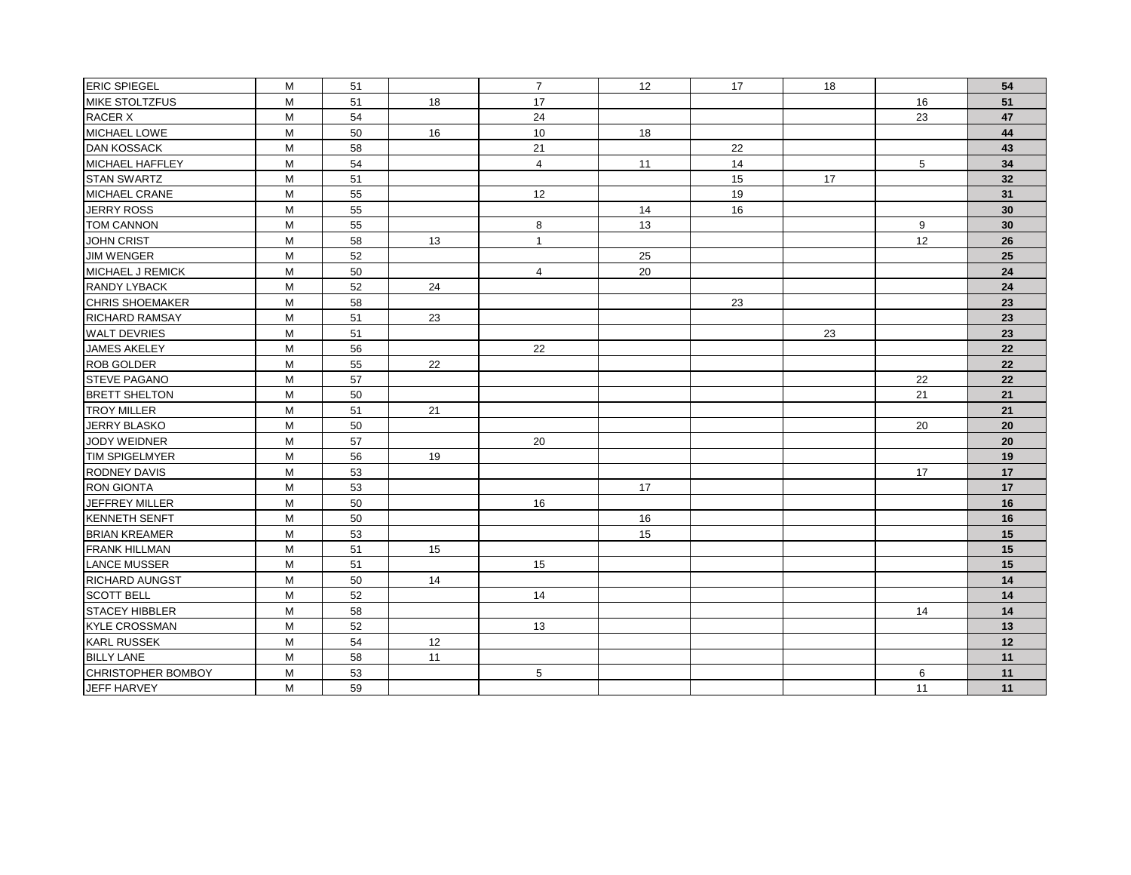| <b>ERIC SPIEGEL</b>    | M | 51 |    | $\overline{7}$ | 12 | 17 | 18 |    | 54 |
|------------------------|---|----|----|----------------|----|----|----|----|----|
| MIKE STOLTZFUS         | M | 51 | 18 | 17             |    |    |    | 16 | 51 |
| <b>RACER X</b>         | M | 54 |    | 24             |    |    |    | 23 | 47 |
| MICHAEL LOWE           | M | 50 | 16 | 10             | 18 |    |    |    | 44 |
| <b>DAN KOSSACK</b>     | M | 58 |    | 21             |    | 22 |    |    | 43 |
| MICHAEL HAFFLEY        | M | 54 |    | $\overline{4}$ | 11 | 14 |    | 5  | 34 |
| <b>STAN SWARTZ</b>     | M | 51 |    |                |    | 15 | 17 |    | 32 |
| MICHAEL CRANE          | M | 55 |    | 12             |    | 19 |    |    | 31 |
| JERRY ROSS             | M | 55 |    |                | 14 | 16 |    |    | 30 |
| <b>TOM CANNON</b>      | M | 55 |    | 8              | 13 |    |    | 9  | 30 |
| <b>JOHN CRIST</b>      | M | 58 | 13 | $\mathbf{1}$   |    |    |    | 12 | 26 |
| <b>JIM WENGER</b>      | M | 52 |    |                | 25 |    |    |    | 25 |
| MICHAEL J REMICK       | М | 50 |    | $\overline{4}$ | 20 |    |    |    | 24 |
| <b>RANDY LYBACK</b>    | M | 52 | 24 |                |    |    |    |    | 24 |
| <b>CHRIS SHOEMAKER</b> | M | 58 |    |                |    | 23 |    |    | 23 |
| <b>RICHARD RAMSAY</b>  | M | 51 | 23 |                |    |    |    |    | 23 |
| <b>WALT DEVRIES</b>    | M | 51 |    |                |    |    | 23 |    | 23 |
| <b>JAMES AKELEY</b>    | M | 56 |    | 22             |    |    |    |    | 22 |
| ROB GOLDER             | M | 55 | 22 |                |    |    |    |    | 22 |
| <b>STEVE PAGANO</b>    | M | 57 |    |                |    |    |    | 22 | 22 |
| <b>BRETT SHELTON</b>   | М | 50 |    |                |    |    |    | 21 | 21 |
| <b>TROY MILLER</b>     | М | 51 | 21 |                |    |    |    |    | 21 |
| JERRY BLASKO           | M | 50 |    |                |    |    |    | 20 | 20 |
| JODY WEIDNER           | M | 57 |    | 20             |    |    |    |    | 20 |
| <b>TIM SPIGELMYER</b>  | M | 56 | 19 |                |    |    |    |    | 19 |
| RODNEY DAVIS           | M | 53 |    |                |    |    |    | 17 | 17 |
| <b>RON GIONTA</b>      | M | 53 |    |                | 17 |    |    |    | 17 |
| JEFFREY MILLER         | M | 50 |    | 16             |    |    |    |    | 16 |
| <b>KENNETH SENFT</b>   | M | 50 |    |                | 16 |    |    |    | 16 |
| <b>BRIAN KREAMER</b>   | M | 53 |    |                | 15 |    |    |    | 15 |
| <b>FRANK HILLMAN</b>   | M | 51 | 15 |                |    |    |    |    | 15 |
| <b>LANCE MUSSER</b>    | M | 51 |    | 15             |    |    |    |    | 15 |
| RICHARD AUNGST         | M | 50 | 14 |                |    |    |    |    | 14 |
| <b>SCOTT BELL</b>      | M | 52 |    | 14             |    |    |    |    | 14 |
| <b>STACEY HIBBLER</b>  | М | 58 |    |                |    |    |    | 14 | 14 |
| <b>KYLE CROSSMAN</b>   | M | 52 |    | 13             |    |    |    |    | 13 |
| <b>KARL RUSSEK</b>     | M | 54 | 12 |                |    |    |    |    | 12 |
| <b>BILLY LANE</b>      | M | 58 | 11 |                |    |    |    |    | 11 |
| CHRISTOPHER BOMBOY     | M | 53 |    | 5              |    |    |    | 6  | 11 |
| <b>JEFF HARVEY</b>     | M | 59 |    |                |    |    |    | 11 | 11 |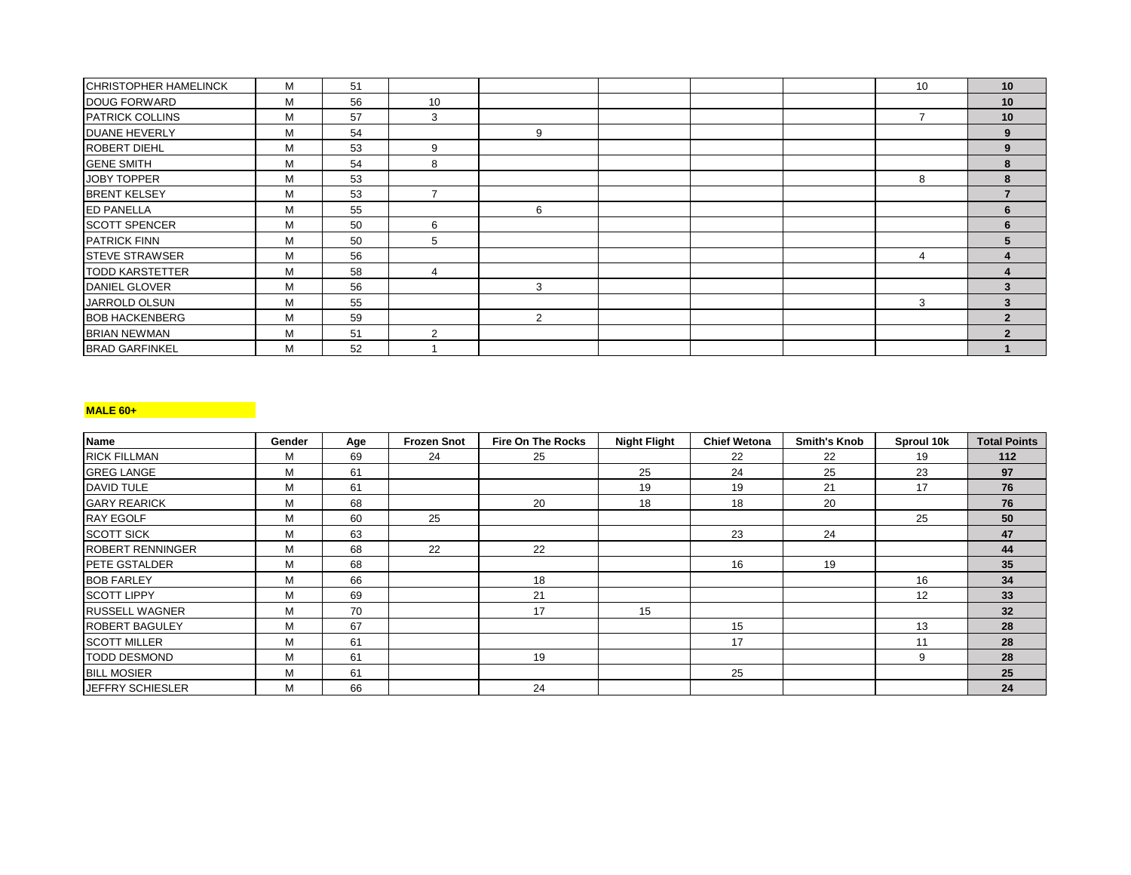| <b>CHRISTOPHER HAMELINCK</b> | M | 51 |    |   |  | 10 | 10 |
|------------------------------|---|----|----|---|--|----|----|
| DOUG FORWARD                 | м | 56 | 10 |   |  |    | 10 |
| <b>PATRICK COLLINS</b>       | M | 57 | 3  |   |  |    | 10 |
| <b>DUANE HEVERLY</b>         | M | 54 |    | 9 |  |    | 9  |
| ROBERT DIEHL                 | М | 53 | 9  |   |  |    | 9  |
| <b>GENE SMITH</b>            | М | 54 | 8  |   |  |    | 8  |
| <b>JOBY TOPPER</b>           | М | 53 |    |   |  | 8  | 8  |
| <b>BRENT KELSEY</b>          | M | 53 |    |   |  |    |    |
| <b>ED PANELLA</b>            | м | 55 |    | 6 |  |    | 6  |
| <b>SCOTT SPENCER</b>         | M | 50 | 6  |   |  |    | 6  |
| <b>PATRICK FINN</b>          | M | 50 | 5  |   |  |    |    |
| <b>STEVE STRAWSER</b>        | M | 56 |    |   |  | 4  |    |
| <b>TODD KARSTETTER</b>       | м | 58 | Δ  |   |  |    |    |
| <b>DANIEL GLOVER</b>         | м | 56 |    | 3 |  |    | ર  |
| JARROLD OLSUN                | М | 55 |    |   |  | 3  | 3  |
| <b>BOB HACKENBERG</b>        | М | 59 |    | 2 |  |    | 2  |
| <b>BRIAN NEWMAN</b>          | М | 51 | 2  |   |  |    | າ  |
| <b>BRAD GARFINKEL</b>        | М | 52 |    |   |  |    |    |

# **MALE 60+**

| <b>Name</b>             | Gender | Age | <b>Frozen Snot</b> | <b>Fire On The Rocks</b> | <b>Night Flight</b> | <b>Chief Wetona</b> | <b>Smith's Knob</b> | Sproul 10k | <b>Total Points</b> |
|-------------------------|--------|-----|--------------------|--------------------------|---------------------|---------------------|---------------------|------------|---------------------|
| <b>RICK FILLMAN</b>     | М      | 69  | 24                 | 25                       |                     | 22                  | 22                  | 19         | 112                 |
| <b>GREG LANGE</b>       | м      | 61  |                    |                          | 25                  | 24                  | 25                  | 23         | 97                  |
| <b>DAVID TULE</b>       | М      | 61  |                    |                          | 19                  | 19                  | 21                  | 17         | 76                  |
| <b>GARY REARICK</b>     | M      | 68  |                    | 20                       | 18                  | 18                  | 20                  |            | 76                  |
| <b>RAY EGOLF</b>        | М      | 60  | 25                 |                          |                     |                     |                     | 25         | 50                  |
| <b>SCOTT SICK</b>       | M      | 63  |                    |                          |                     | 23                  | 24                  |            | 47                  |
| <b>ROBERT RENNINGER</b> | М      | 68  | 22                 | 22                       |                     |                     |                     |            | 44                  |
| <b>IPETE GSTALDER</b>   | м      | 68  |                    |                          |                     | 16                  | 19                  |            | 35                  |
| <b>BOB FARLEY</b>       | M      | 66  |                    | 18                       |                     |                     |                     | 16         | 34                  |
| <b>SCOTT LIPPY</b>      | м      | 69  |                    | 21                       |                     |                     |                     | 12         | 33                  |
| <b>RUSSELL WAGNER</b>   | М      | 70  |                    | 17                       | 15                  |                     |                     |            | 32                  |
| <b>ROBERT BAGULEY</b>   | M      | 67  |                    |                          |                     | 15                  |                     | 13         | 28                  |
| <b>SCOTT MILLER</b>     | м      | 61  |                    |                          |                     | 17                  |                     | 11         | 28                  |
| <b>TODD DESMOND</b>     | м      | 61  |                    | 19                       |                     |                     |                     | 9          | 28                  |
| <b>BILL MOSIER</b>      | M      | 61  |                    |                          |                     | 25                  |                     |            | 25                  |
| JEFFRY SCHIESLER        | м      | 66  |                    | 24                       |                     |                     |                     |            | 24                  |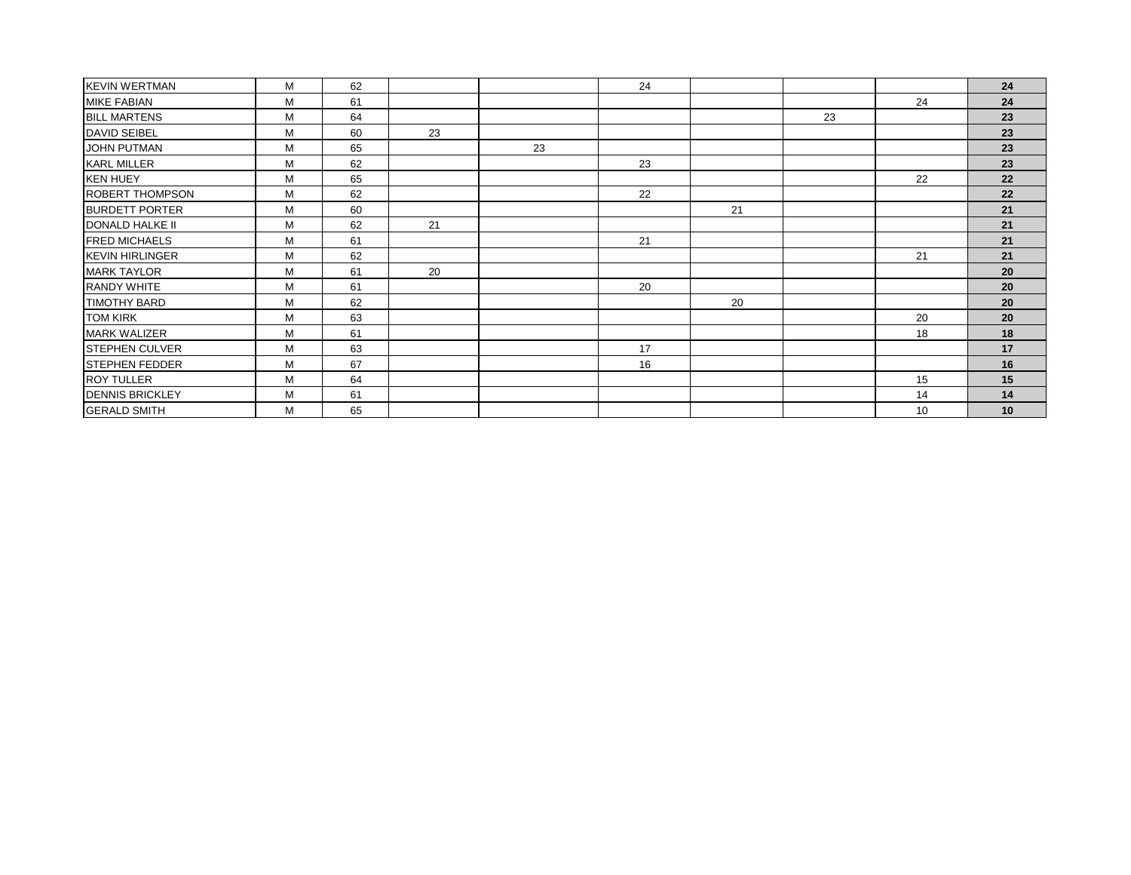| <b>KEVIN WERTMAN</b>   | M | 62 |    |    | 24 |    |    |    | 24 |
|------------------------|---|----|----|----|----|----|----|----|----|
| <b>MIKE FABIAN</b>     | M | 61 |    |    |    |    |    | 24 | 24 |
| <b>BILL MARTENS</b>    | M | 64 |    |    |    |    | 23 |    | 23 |
| <b>DAVID SEIBEL</b>    | M | 60 | 23 |    |    |    |    |    | 23 |
| <b>JOHN PUTMAN</b>     | M | 65 |    | 23 |    |    |    |    | 23 |
| <b>KARL MILLER</b>     | M | 62 |    |    | 23 |    |    |    | 23 |
| <b>KEN HUEY</b>        | M | 65 |    |    |    |    |    | 22 | 22 |
| <b>ROBERT THOMPSON</b> | M | 62 |    |    | 22 |    |    |    | 22 |
| <b>BURDETT PORTER</b>  | M | 60 |    |    |    | 21 |    |    | 21 |
| DONALD HALKE II        | M | 62 | 21 |    |    |    |    |    | 21 |
| <b>FRED MICHAELS</b>   | M | 61 |    |    | 21 |    |    |    | 21 |
| <b>KEVIN HIRLINGER</b> | M | 62 |    |    |    |    |    | 21 | 21 |
| <b>MARK TAYLOR</b>     | M | 61 | 20 |    |    |    |    |    | 20 |
| <b>RANDY WHITE</b>     | M | 61 |    |    | 20 |    |    |    | 20 |
| <b>TIMOTHY BARD</b>    | M | 62 |    |    |    | 20 |    |    | 20 |
| <b>TOM KIRK</b>        | M | 63 |    |    |    |    |    | 20 | 20 |
| <b>MARK WALIZER</b>    | M | 61 |    |    |    |    |    | 18 | 18 |
| <b>STEPHEN CULVER</b>  | М | 63 |    |    | 17 |    |    |    | 17 |
| <b>STEPHEN FEDDER</b>  | M | 67 |    |    | 16 |    |    |    | 16 |
| <b>ROY TULLER</b>      | M | 64 |    |    |    |    |    | 15 | 15 |
| <b>DENNIS BRICKLEY</b> | M | 61 |    |    |    |    |    | 14 | 14 |
| <b>GERALD SMITH</b>    | M | 65 |    |    |    |    |    | 10 | 10 |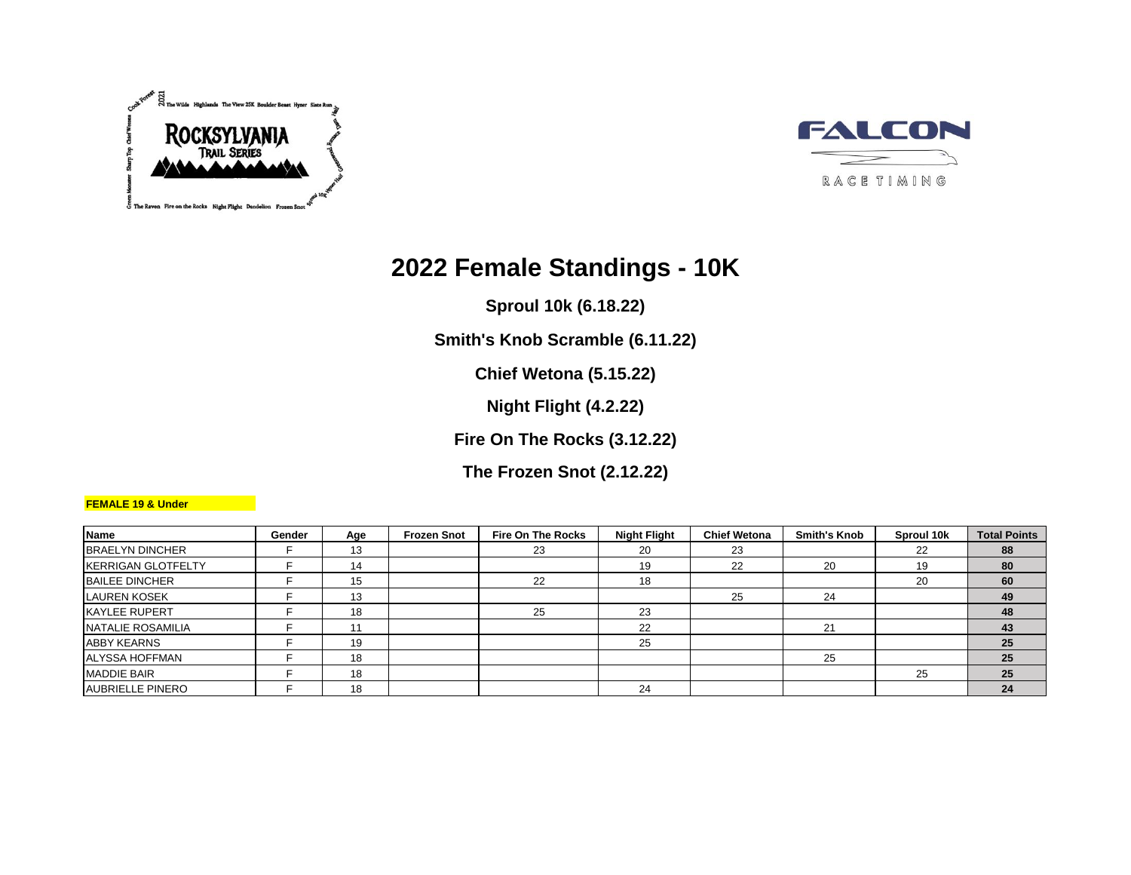



# **2022 Female Standings - 10K**

**Sproul 10k (6.18.22)**

**Smith's Knob Scramble (6.11.22)**

**Chief Wetona (5.15.22)**

**Night Flight (4.2.22)**

**Fire On The Rocks (3.12.22)**

**The Frozen Snot (2.12.22)**

## **FEMALE 19 & Under**

| <b>Name</b>               | Gender | Age | <b>Frozen Snot</b> | <b>Fire On The Rocks</b> | <b>Night Flight</b> | <b>Chief Wetona</b> | <b>Smith's Knob</b> | Sproul 10k | <b>Total Points</b> |
|---------------------------|--------|-----|--------------------|--------------------------|---------------------|---------------------|---------------------|------------|---------------------|
| <b>BRAELYN DINCHER</b>    |        | 13  |                    | 23                       | 20                  | 23                  |                     | 22         | 88                  |
| <b>KERRIGAN GLOTFELTY</b> |        | 14  |                    |                          | 19                  | 22                  | 20                  | 19         | 80                  |
| <b>BAILEE DINCHER</b>     |        | 15  |                    | 22                       | 18                  |                     |                     | 20         | 60                  |
| <b>LAUREN KOSEK</b>       |        | 13  |                    |                          |                     | 25                  | 24                  |            | 49                  |
| <b>KAYLEE RUPERT</b>      |        | 18  |                    | 25                       | 23                  |                     |                     |            | 48                  |
| NATALIE ROSAMILIA         |        | 11  |                    |                          | 22                  |                     | 21                  |            | 43                  |
| <b>ABBY KEARNS</b>        |        | 19  |                    |                          | 25                  |                     |                     |            | 25                  |
| <b>ALYSSA HOFFMAN</b>     |        | 18  |                    |                          |                     |                     | 25                  |            | 25                  |
| <b>MADDIE BAIR</b>        |        | 18  |                    |                          |                     |                     |                     | 25         | 25                  |
| <b>AUBRIELLE PINERO</b>   |        | 18  |                    |                          | 24                  |                     |                     |            | 24                  |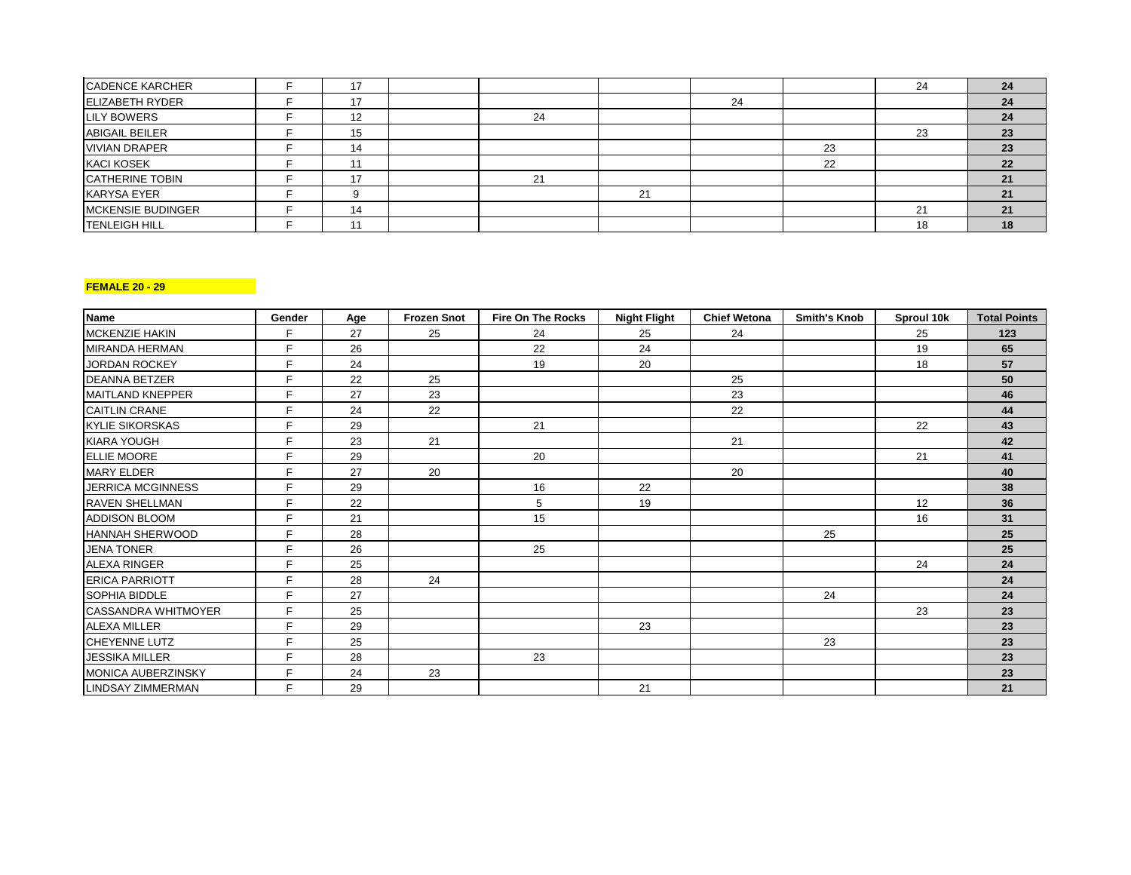| <b>CADENCE KARCHER</b>   |    |            |    |    |    | 24     | 24 |
|--------------------------|----|------------|----|----|----|--------|----|
| <b>ELIZABETH RYDER</b>   | 17 |            |    | 24 |    |        | 24 |
| <b>LILY BOWERS</b>       | 12 | 24         |    |    |    |        | 24 |
| <b>ABIGAIL BEILER</b>    | 15 |            |    |    |    |        | 23 |
| <b>VIVIAN DRAPER</b>     | 14 |            |    |    | 23 |        | 23 |
| <b>KACI KOSEK</b>        |    |            |    |    | 22 |        | 22 |
| <b>CATHERINE TOBIN</b>   |    | $^{\circ}$ |    |    |    |        |    |
| <b>KARYSA EYER</b>       |    |            | 24 |    |    |        |    |
| <b>MCKENSIE BUDINGER</b> | 14 |            |    |    |    | $\sim$ | 21 |
| <b>TENLEIGH HILL</b>     |    |            |    |    |    | 18     | 18 |

### **FEMALE 20 - 29**

| <b>Name</b>                | Gender | Age | <b>Frozen Snot</b> | <b>Fire On The Rocks</b> | <b>Night Flight</b> | <b>Chief Wetona</b> | <b>Smith's Knob</b> | Sproul 10k | <b>Total Points</b> |
|----------------------------|--------|-----|--------------------|--------------------------|---------------------|---------------------|---------------------|------------|---------------------|
| <b>MCKENZIE HAKIN</b>      | F.     | 27  | 25                 | 24                       | 25                  | 24                  |                     | 25         | 123                 |
| <b>MIRANDA HERMAN</b>      | F      | 26  |                    | 22                       | 24                  |                     |                     | 19         | 65                  |
| <b>JORDAN ROCKEY</b>       | F      | 24  |                    | 19                       | 20                  |                     |                     | 18         | 57                  |
| <b>DEANNA BETZER</b>       | F.     | 22  | 25                 |                          |                     | 25                  |                     |            | 50                  |
| <b>MAITLAND KNEPPER</b>    | F.     | 27  | 23                 |                          |                     | 23                  |                     |            | 46                  |
| <b>CAITLIN CRANE</b>       | F.     | 24  | 22                 |                          |                     | 22                  |                     |            | 44                  |
| <b>KYLIE SIKORSKAS</b>     | F      | 29  |                    | 21                       |                     |                     |                     | 22         | 43                  |
| <b>KIARA YOUGH</b>         | F.     | 23  | 21                 |                          |                     | 21                  |                     |            | 42                  |
| <b>ELLIE MOORE</b>         | F      | 29  |                    | 20                       |                     |                     |                     | 21         | 41                  |
| <b>MARY ELDER</b>          | F.     | 27  | 20                 |                          |                     | 20                  |                     |            | 40                  |
| <b>JERRICA MCGINNESS</b>   | F.     | 29  |                    | 16                       | 22                  |                     |                     |            | 38                  |
| <b>RAVEN SHELLMAN</b>      | F.     | 22  |                    | 5                        | 19                  |                     |                     | 12         | 36                  |
| <b>ADDISON BLOOM</b>       | F.     | 21  |                    | 15                       |                     |                     |                     | 16         | 31                  |
| <b>HANNAH SHERWOOD</b>     | F.     | 28  |                    |                          |                     |                     | 25                  |            | 25                  |
| <b>JENA TONER</b>          | F.     | 26  |                    | 25                       |                     |                     |                     |            | 25                  |
| <b>ALEXA RINGER</b>        | F.     | 25  |                    |                          |                     |                     |                     | 24         | 24                  |
| <b>ERICA PARRIOTT</b>      | F.     | 28  | 24                 |                          |                     |                     |                     |            | 24                  |
| <b>SOPHIA BIDDLE</b>       | F.     | 27  |                    |                          |                     |                     | 24                  |            | 24                  |
| <b>CASSANDRA WHITMOYER</b> | F.     | 25  |                    |                          |                     |                     |                     | 23         | 23                  |
| <b>ALEXA MILLER</b>        | F.     | 29  |                    |                          | 23                  |                     |                     |            | 23                  |
| <b>CHEYENNE LUTZ</b>       | F.     | 25  |                    |                          |                     |                     | 23                  |            | 23                  |
| <b>JESSIKA MILLER</b>      | F.     | 28  |                    | 23                       |                     |                     |                     |            | 23                  |
| MONICA AUBERZINSKY         | F.     | 24  | 23                 |                          |                     |                     |                     |            | 23                  |
| <b>LINDSAY ZIMMERMAN</b>   | F.     | 29  |                    |                          | 21                  |                     |                     |            | 21                  |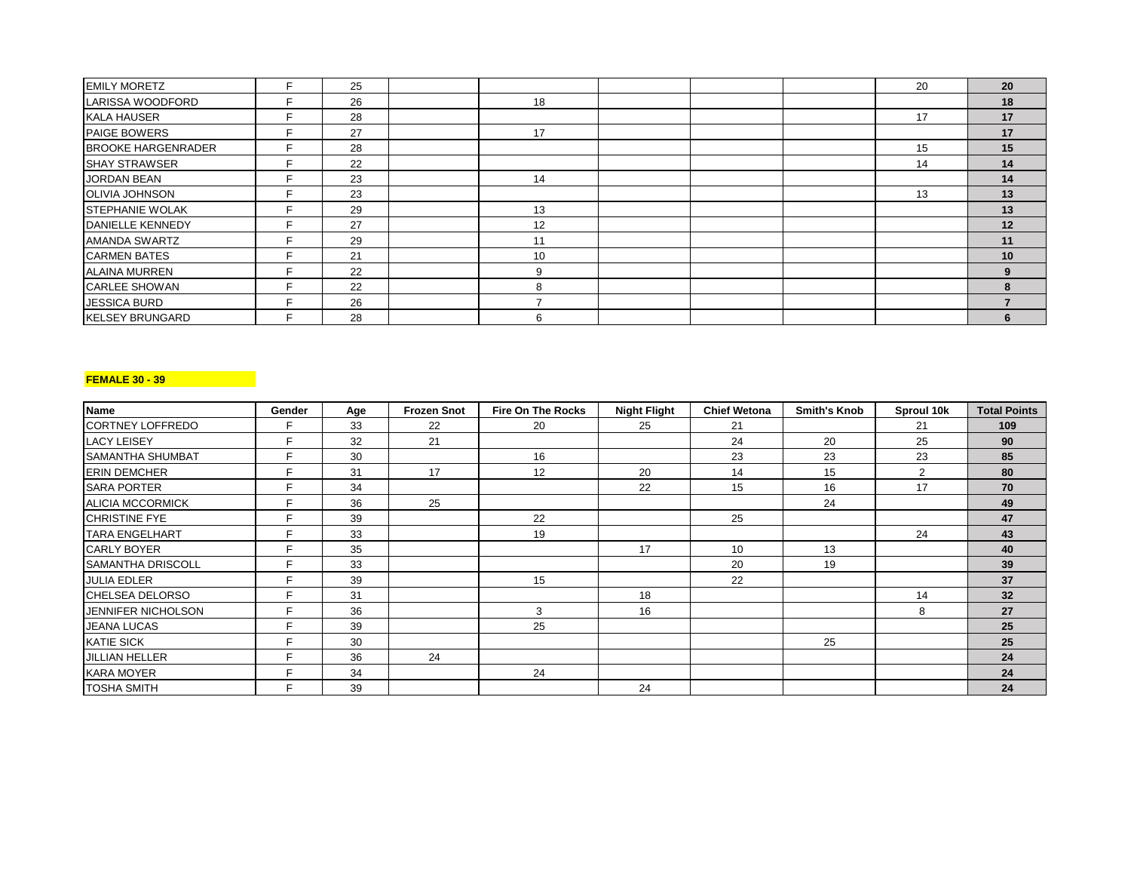| <b>EMILY MORETZ</b>       | E. | 25 |    |  | 20 | 20 |
|---------------------------|----|----|----|--|----|----|
| LARISSA WOODFORD          |    | 26 | 18 |  |    | 18 |
| <b>KALA HAUSER</b>        |    | 28 |    |  | 17 | 17 |
| PAIGE BOWERS              | Ε. | 27 | 17 |  |    | 17 |
| <b>BROOKE HARGENRADER</b> |    | 28 |    |  | 15 | 15 |
| <b>SHAY STRAWSER</b>      |    | 22 |    |  | 14 | 14 |
| <b>JORDAN BEAN</b>        |    | 23 | 14 |  |    | 14 |
| <b>OLIVIA JOHNSON</b>     |    | 23 |    |  | 13 | 13 |
| <b>STEPHANIE WOLAK</b>    |    | 29 | 13 |  |    | 13 |
| DANIELLE KENNEDY          | Е. | 27 | 12 |  |    | 12 |
| <b>AMANDA SWARTZ</b>      |    | 29 | 11 |  |    | 11 |
| <b>CARMEN BATES</b>       |    | 21 | 10 |  |    | 10 |
| <b>ALAINA MURREN</b>      |    | 22 | q  |  |    |    |
| <b>CARLEE SHOWAN</b>      |    | 22 |    |  |    |    |
| <b>JESSICA BURD</b>       |    | 26 |    |  |    |    |
| <b>KELSEY BRUNGARD</b>    | Е  | 28 |    |  |    |    |

### **FEMALE 30 - 39**

| Name                      | Gender | Age | <b>Frozen Snot</b> | <b>Fire On The Rocks</b> | <b>Night Flight</b> | <b>Chief Wetona</b> | <b>Smith's Knob</b> | Sproul 10k | <b>Total Points</b> |
|---------------------------|--------|-----|--------------------|--------------------------|---------------------|---------------------|---------------------|------------|---------------------|
| CORTNEY LOFFREDO          |        | 33  | 22                 | 20                       | 25                  | 21                  |                     | 21         | 109                 |
| <b>LACY LEISEY</b>        |        | 32  | 21                 |                          |                     | 24                  | 20                  | 25         | 90                  |
| <b>SAMANTHA SHUMBAT</b>   | F      | 30  |                    | 16                       |                     | 23                  | 23                  | 23         | 85                  |
| <b>ERIN DEMCHER</b>       |        | 31  | 17                 | 12                       | 20                  | 14                  | 15                  | 2          | 80                  |
| <b>SARA PORTER</b>        |        | 34  |                    |                          | 22                  | 15                  | 16                  | 17         | 70                  |
| <b>ALICIA MCCORMICK</b>   |        | 36  | 25                 |                          |                     |                     | 24                  |            | 49                  |
| <b>CHRISTINE FYE</b>      |        | 39  |                    | 22                       |                     | 25                  |                     |            | 47                  |
| <b>TARA ENGELHART</b>     |        | 33  |                    | 19                       |                     |                     |                     | 24         | 43                  |
| <b>CARLY BOYER</b>        |        | 35  |                    |                          | 17                  | 10                  | 13                  |            | 40                  |
| <b>SAMANTHA DRISCOLL</b>  |        | 33  |                    |                          |                     | 20                  | 19                  |            | 39                  |
| <b>JULIA EDLER</b>        |        | 39  |                    | 15                       |                     | 22                  |                     |            | 37                  |
| CHELSEA DELORSO           |        | 31  |                    |                          | 18                  |                     |                     | 14         | 32 <sub>2</sub>     |
| <b>JENNIFER NICHOLSON</b> |        | 36  |                    | 3                        | 16                  |                     |                     | 8          | 27                  |
| <b>JEANA LUCAS</b>        | Е      | 39  |                    | 25                       |                     |                     |                     |            | 25                  |
| <b>KATIE SICK</b>         |        | 30  |                    |                          |                     |                     | 25                  |            | 25                  |
| <b>JILLIAN HELLER</b>     |        | 36  | 24                 |                          |                     |                     |                     |            | 24                  |
| <b>KARA MOYER</b>         |        | 34  |                    | 24                       |                     |                     |                     |            | 24                  |
| <b>TOSHA SMITH</b>        |        | 39  |                    |                          | 24                  |                     |                     |            | 24                  |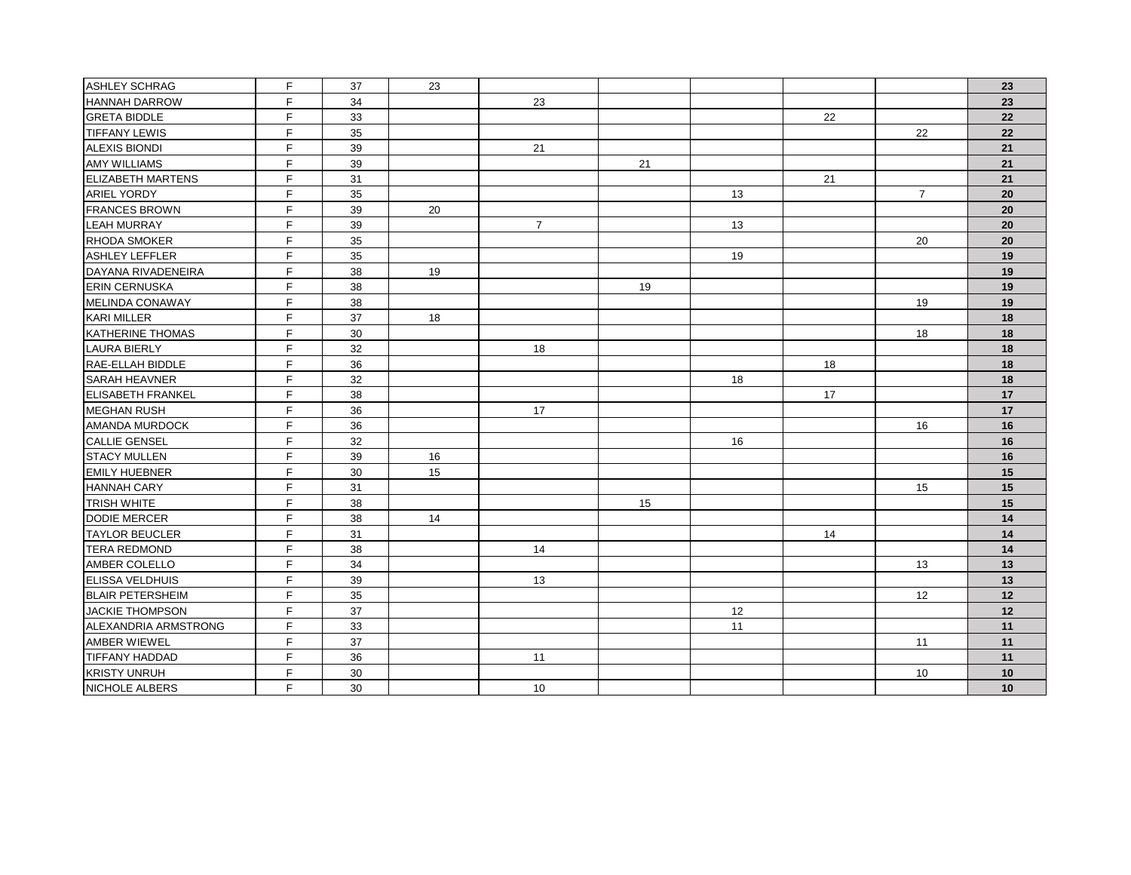| <b>ASHLEY SCHRAG</b>     | $\mathsf F$  | 37 | 23 |                |    |    |    |                 | 23 |
|--------------------------|--------------|----|----|----------------|----|----|----|-----------------|----|
| <b>HANNAH DARROW</b>     | F            | 34 |    | 23             |    |    |    |                 | 23 |
| <b>GRETA BIDDLE</b>      | F.           | 33 |    |                |    |    | 22 |                 | 22 |
| <b>TIFFANY LEWIS</b>     | F            | 35 |    |                |    |    |    | 22              | 22 |
| <b>ALEXIS BIONDI</b>     | F            | 39 |    | 21             |    |    |    |                 | 21 |
| <b>AMY WILLIAMS</b>      | E            | 39 |    |                | 21 |    |    |                 | 21 |
| <b>ELIZABETH MARTENS</b> | E            | 31 |    |                |    |    | 21 |                 | 21 |
| <b>ARIEL YORDY</b>       | F            | 35 |    |                |    | 13 |    | $\overline{7}$  | 20 |
| <b>FRANCES BROWN</b>     | E            | 39 | 20 |                |    |    |    |                 | 20 |
| <b>LEAH MURRAY</b>       | F.           | 39 |    | $\overline{7}$ |    | 13 |    |                 | 20 |
| <b>RHODA SMOKER</b>      | $\mathsf{F}$ | 35 |    |                |    |    |    | 20              | 20 |
| <b>ASHLEY LEFFLER</b>    | F            | 35 |    |                |    | 19 |    |                 | 19 |
| DAYANA RIVADENEIRA       | E            | 38 | 19 |                |    |    |    |                 | 19 |
| <b>ERIN CERNUSKA</b>     | F            | 38 |    |                | 19 |    |    |                 | 19 |
| MELINDA CONAWAY          | F            | 38 |    |                |    |    |    | 19              | 19 |
| <b>KARI MILLER</b>       | E            | 37 | 18 |                |    |    |    |                 | 18 |
| KATHERINE THOMAS         | E            | 30 |    |                |    |    |    | 18              | 18 |
| <b>LAURA BIERLY</b>      | E            | 32 |    | 18             |    |    |    |                 | 18 |
| RAE-ELLAH BIDDLE         | F            | 36 |    |                |    |    | 18 |                 | 18 |
| SARAH HEAVNER            | F            | 32 |    |                |    | 18 |    |                 | 18 |
| <b>ELISABETH FRANKEL</b> | F            | 38 |    |                |    |    | 17 |                 | 17 |
| <b>MEGHAN RUSH</b>       | E            | 36 |    | 17             |    |    |    |                 | 17 |
| AMANDA MURDOCK           | F            | 36 |    |                |    |    |    | 16              | 16 |
| <b>CALLIE GENSEL</b>     | E            | 32 |    |                |    | 16 |    |                 | 16 |
| <b>STACY MULLEN</b>      | E            | 39 | 16 |                |    |    |    |                 | 16 |
| <b>EMILY HUEBNER</b>     | F            | 30 | 15 |                |    |    |    |                 | 15 |
| <b>HANNAH CARY</b>       | F            | 31 |    |                |    |    |    | 15              | 15 |
| <b>TRISH WHITE</b>       | F            | 38 |    |                | 15 |    |    |                 | 15 |
| <b>DODIE MERCER</b>      | F            | 38 | 14 |                |    |    |    |                 | 14 |
| <b>TAYLOR BEUCLER</b>    | F            | 31 |    |                |    |    | 14 |                 | 14 |
| <b>TERA REDMOND</b>      | E            | 38 |    | 14             |    |    |    |                 | 14 |
| <b>AMBER COLELLO</b>     | E            | 34 |    |                |    |    |    | 13              | 13 |
| <b>ELISSA VELDHUIS</b>   | F            | 39 |    | 13             |    |    |    |                 | 13 |
| <b>BLAIR PETERSHEIM</b>  | F            | 35 |    |                |    |    |    | 12              | 12 |
| <b>JACKIE THOMPSON</b>   | F            | 37 |    |                |    | 12 |    |                 | 12 |
| ALEXANDRIA ARMSTRONG     | F            | 33 |    |                |    | 11 |    |                 | 11 |
| AMBER WIEWEL             | F            | 37 |    |                |    |    |    | 11              | 11 |
| <b>TIFFANY HADDAD</b>    | F            | 36 |    | 11             |    |    |    |                 | 11 |
| <b>KRISTY UNRUH</b>      | F            | 30 |    |                |    |    |    | 10 <sup>1</sup> | 10 |
| NICHOLE ALBERS           | F            | 30 |    | 10             |    |    |    |                 | 10 |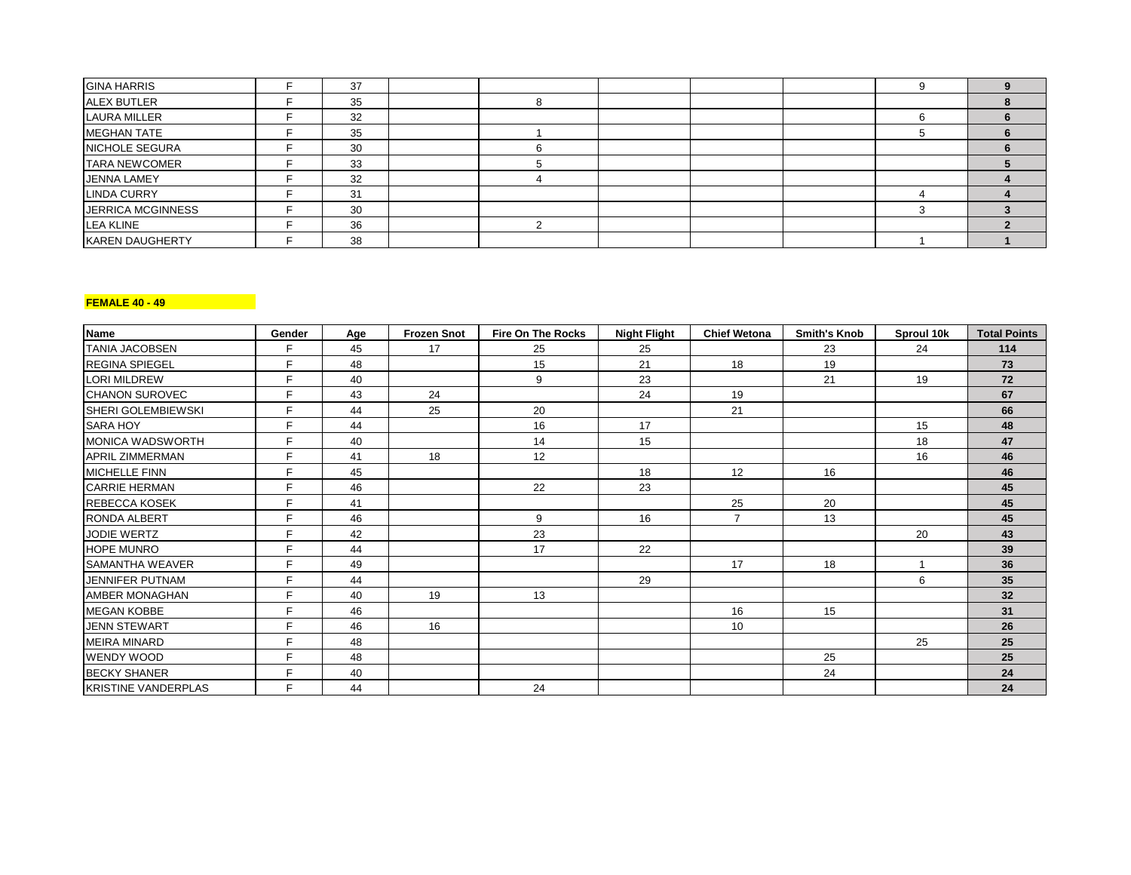| <b>GINA HARRIS</b>     | 37 |  |  |  |  |
|------------------------|----|--|--|--|--|
| <b>ALEX BUTLER</b>     | 35 |  |  |  |  |
| <b>LAURA MILLER</b>    | 32 |  |  |  |  |
| <b>MEGHAN TATE</b>     | 35 |  |  |  |  |
| <b>NICHOLE SEGURA</b>  | 30 |  |  |  |  |
| <b>TARA NEWCOMER</b>   | 33 |  |  |  |  |
| <b>JENNA LAMEY</b>     | 32 |  |  |  |  |
| <b>LINDA CURRY</b>     | 31 |  |  |  |  |
| JERRICA MCGINNESS      | 30 |  |  |  |  |
| <b>LEA KLINE</b>       | 36 |  |  |  |  |
| <b>KAREN DAUGHERTY</b> | 38 |  |  |  |  |

# **FEMALE 40 - 49**

| <b>Name</b>                | Gender | Age | <b>Frozen Snot</b> | <b>Fire On The Rocks</b> | <b>Night Flight</b> | <b>Chief Wetona</b> | <b>Smith's Knob</b> | Sproul 10k | <b>Total Points</b> |
|----------------------------|--------|-----|--------------------|--------------------------|---------------------|---------------------|---------------------|------------|---------------------|
| <b>TANIA JACOBSEN</b>      | F.     | 45  | 17                 | 25                       | 25                  |                     | 23                  | 24         | 114                 |
| <b>REGINA SPIEGEL</b>      | F.     | 48  |                    | 15                       | 21                  | 18                  | 19                  |            | 73                  |
| <b>LORI MILDREW</b>        | F.     | 40  |                    | 9                        | 23                  |                     | 21                  | 19         | 72                  |
| <b>CHANON SUROVEC</b>      | E      | 43  | 24                 |                          | 24                  | 19                  |                     |            | 67                  |
| <b>SHERI GOLEMBIEWSKI</b>  | F      | 44  | 25                 | 20                       |                     | 21                  |                     |            | 66                  |
| <b>SARA HOY</b>            | E      | 44  |                    | 16                       | 17                  |                     |                     | 15         | 48                  |
| MONICA WADSWORTH           | F.     | 40  |                    | 14                       | 15                  |                     |                     | 18         | 47                  |
| <b>APRIL ZIMMERMAN</b>     | F.     | 41  | 18                 | 12                       |                     |                     |                     | 16         | 46                  |
| <b>MICHELLE FINN</b>       | F.     | 45  |                    |                          | 18                  | 12                  | 16                  |            | 46                  |
| <b>CARRIE HERMAN</b>       | F.     | 46  |                    | 22                       | 23                  |                     |                     |            | 45                  |
| <b>REBECCA KOSEK</b>       | F.     | 41  |                    |                          |                     | 25                  | 20                  |            | 45                  |
| <b>RONDA ALBERT</b>        | F.     | 46  |                    | 9                        | 16                  | $\overline{7}$      | 13                  |            | 45                  |
| <b>JODIE WERTZ</b>         | F.     | 42  |                    | 23                       |                     |                     |                     | 20         | 43                  |
| <b>HOPE MUNRO</b>          | F.     | 44  |                    | 17                       | 22                  |                     |                     |            | 39                  |
| <b>SAMANTHA WEAVER</b>     | F.     | 49  |                    |                          |                     | 17                  | 18                  |            | 36                  |
| <b>JENNIFER PUTNAM</b>     | F.     | 44  |                    |                          | 29                  |                     |                     | 6          | 35                  |
| <b>AMBER MONAGHAN</b>      | F      | 40  | 19                 | 13                       |                     |                     |                     |            | 32                  |
| <b>IMEGAN KOBBE</b>        | F.     | 46  |                    |                          |                     | 16                  | 15                  |            | 31                  |
| <b>JENN STEWART</b>        | F.     | 46  | 16                 |                          |                     | 10                  |                     |            | 26                  |
| <b>MEIRA MINARD</b>        | F.     | 48  |                    |                          |                     |                     |                     | 25         | 25                  |
| <b>WENDY WOOD</b>          | F.     | 48  |                    |                          |                     |                     | 25                  |            | 25                  |
| <b>BECKY SHANER</b>        | F.     | 40  |                    |                          |                     |                     | 24                  |            | 24                  |
| <b>KRISTINE VANDERPLAS</b> | F.     | 44  |                    | 24                       |                     |                     |                     |            | 24                  |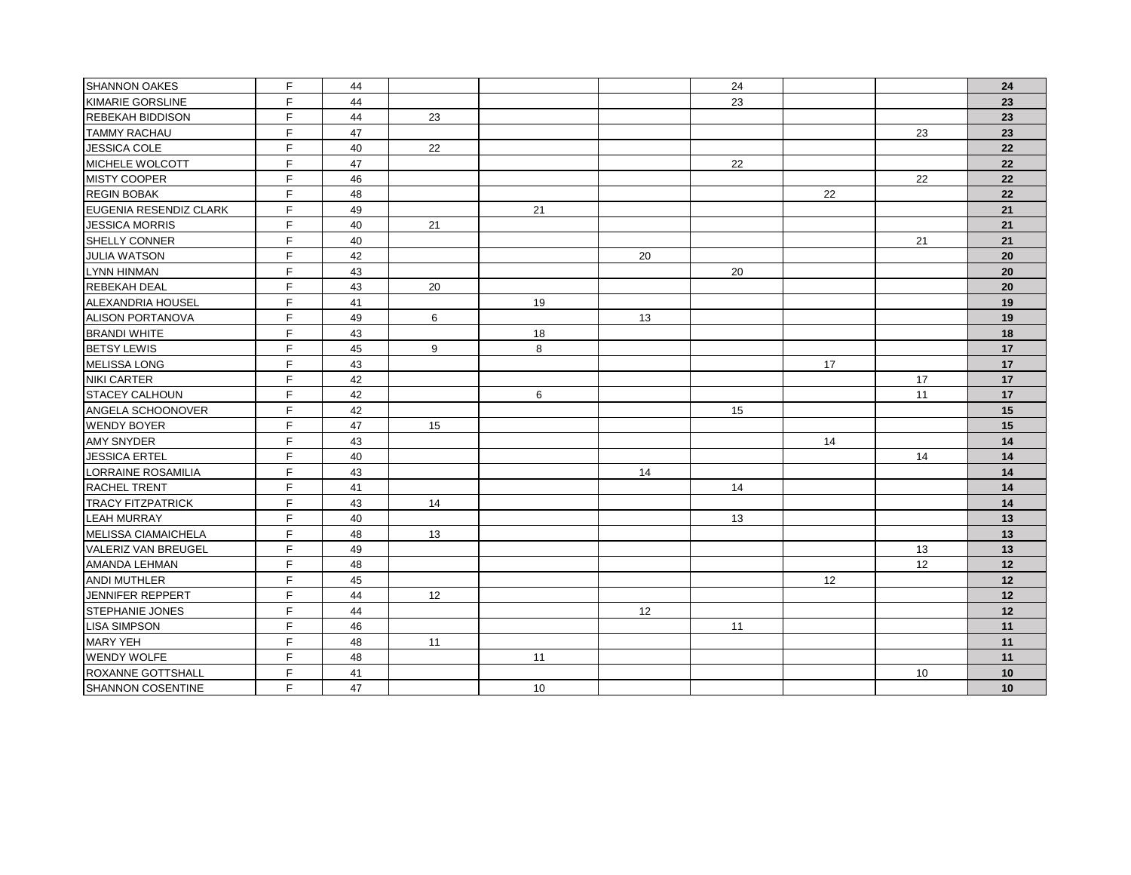| <b>SHANNON OAKES</b>       | F  | 44 |    |    |    | 24 |    |    | 24 |
|----------------------------|----|----|----|----|----|----|----|----|----|
| KIMARIE GORSLINE           | F  | 44 |    |    |    | 23 |    |    | 23 |
| <b>REBEKAH BIDDISON</b>    | F  | 44 | 23 |    |    |    |    |    | 23 |
| <b>TAMMY RACHAU</b>        | F  | 47 |    |    |    |    |    | 23 | 23 |
| JESSICA COLE               | F  | 40 | 22 |    |    |    |    |    | 22 |
| MICHELE WOLCOTT            | F  | 47 |    |    |    | 22 |    |    | 22 |
| <b>MISTY COOPER</b>        | F  | 46 |    |    |    |    |    | 22 | 22 |
| <b>REGIN BOBAK</b>         | F  | 48 |    |    |    |    | 22 |    | 22 |
| EUGENIA RESENDIZ CLARK     | F  | 49 |    | 21 |    |    |    |    | 21 |
| <b>JESSICA MORRIS</b>      | F  | 40 | 21 |    |    |    |    |    | 21 |
| SHELLY CONNER              | F  | 40 |    |    |    |    |    | 21 | 21 |
| <b>JULIA WATSON</b>        | F  | 42 |    |    | 20 |    |    |    | 20 |
| LYNN HINMAN                | F  | 43 |    |    |    | 20 |    |    | 20 |
| <b>REBEKAH DEAL</b>        | F  | 43 | 20 |    |    |    |    |    | 20 |
| ALEXANDRIA HOUSEL          | F  | 41 |    | 19 |    |    |    |    | 19 |
| ALISON PORTANOVA           | F  | 49 | 6  |    | 13 |    |    |    | 19 |
| <b>BRANDI WHITE</b>        | F  | 43 |    | 18 |    |    |    |    | 18 |
| <b>BETSY LEWIS</b>         | F  | 45 | 9  | 8  |    |    |    |    | 17 |
| MELISSA LONG               | F  | 43 |    |    |    |    | 17 |    | 17 |
| <b>NIKI CARTER</b>         | F  | 42 |    |    |    |    |    | 17 | 17 |
| <b>STACEY CALHOUN</b>      | F  | 42 |    | 6  |    |    |    | 11 | 17 |
| ANGELA SCHOONOVER          | F  | 42 |    |    |    | 15 |    |    | 15 |
| <b>WENDY BOYER</b>         | F  | 47 | 15 |    |    |    |    |    | 15 |
| AMY SNYDER                 | F  | 43 |    |    |    |    | 14 |    | 14 |
| JESSICA ERTEL              | F. | 40 |    |    |    |    |    | 14 | 14 |
| LORRAINE ROSAMILIA         | F  | 43 |    |    | 14 |    |    |    | 14 |
| <b>RACHEL TRENT</b>        | F. | 41 |    |    |    | 14 |    |    | 14 |
| <b>TRACY FITZPATRICK</b>   | F  | 43 | 14 |    |    |    |    |    | 14 |
| <b>LEAH MURRAY</b>         | F  | 40 |    |    |    | 13 |    |    | 13 |
| MELISSA CIAMAICHELA        | F  | 48 | 13 |    |    |    |    |    | 13 |
| <b>VALERIZ VAN BREUGEL</b> | F  | 49 |    |    |    |    |    | 13 | 13 |
| <b>AMANDA LEHMAN</b>       | F  | 48 |    |    |    |    |    | 12 | 12 |
| ANDI MUTHLER               | F  | 45 |    |    |    |    | 12 |    | 12 |
| JENNIFER REPPERT           | F  | 44 | 12 |    |    |    |    |    | 12 |
| <b>STEPHANIE JONES</b>     | F  | 44 |    |    | 12 |    |    |    | 12 |
| <b>LISA SIMPSON</b>        | F. | 46 |    |    |    | 11 |    |    | 11 |
| <b>MARY YEH</b>            | F  | 48 | 11 |    |    |    |    |    | 11 |
| <b>WENDY WOLFE</b>         | F  | 48 |    | 11 |    |    |    |    | 11 |
| ROXANNE GOTTSHALL          | F  | 41 |    |    |    |    |    | 10 | 10 |
| SHANNON COSENTINE          | F  | 47 |    | 10 |    |    |    |    | 10 |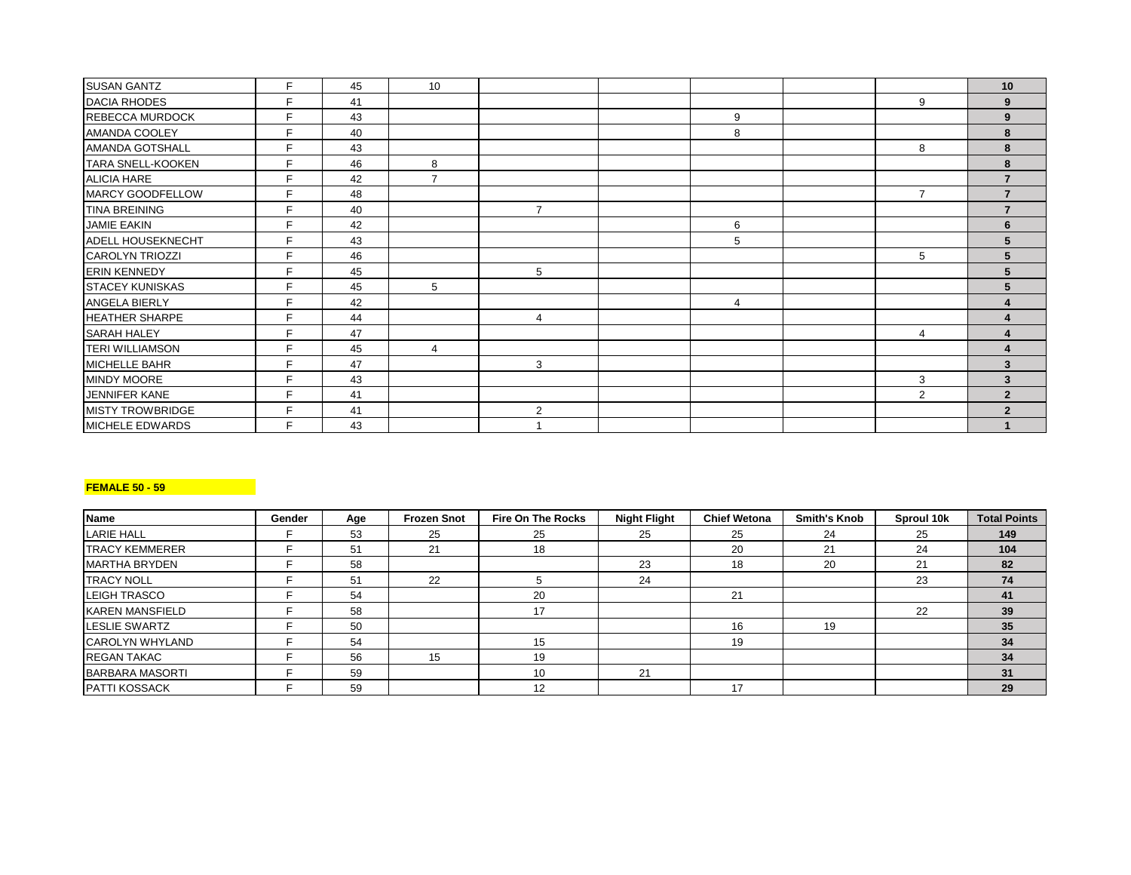| <b>SUSAN GANTZ</b>       | E  | 45 | 10             |                |   |                | 10                       |
|--------------------------|----|----|----------------|----------------|---|----------------|--------------------------|
| <b>DACIA RHODES</b>      | Е  | 41 |                |                |   | 9              | 9                        |
| <b>REBECCA MURDOCK</b>   | E  | 43 |                |                | 9 |                | 9                        |
| <b>AMANDA COOLEY</b>     | E. | 40 |                |                | 8 |                | 8                        |
| AMANDA GOTSHALL          | E. | 43 |                |                |   | 8              |                          |
| <b>TARA SNELL-KOOKEN</b> | E  | 46 | 8              |                |   |                | 8                        |
| <b>ALICIA HARE</b>       | E  | 42 | $\overline{ }$ |                |   |                |                          |
| MARCY GOODFELLOW         | E  | 48 |                |                |   | $\overline{7}$ |                          |
| <b>TINA BREINING</b>     | E  | 40 |                | $\overline{7}$ |   |                |                          |
| <b>JAMIE EAKIN</b>       | E  | 42 |                |                | 6 |                | 6                        |
| <b>ADELL HOUSEKNECHT</b> | E  | 43 |                |                | 5 |                |                          |
| <b>CAROLYN TRIOZZI</b>   | Е  | 46 |                |                |   | 5              |                          |
| <b>ERIN KENNEDY</b>      | E  | 45 |                | 5              |   |                |                          |
| <b>STACEY KUNISKAS</b>   | E  | 45 | 5              |                |   |                |                          |
| <b>ANGELA BIERLY</b>     |    | 42 |                |                | 4 |                |                          |
| <b>HEATHER SHARPE</b>    | E  | 44 |                | 4              |   |                |                          |
| <b>SARAH HALEY</b>       | Е  | 47 |                |                |   | 4              |                          |
| <b>TERI WILLIAMSON</b>   | E  | 45 | 4              |                |   |                |                          |
| <b>MICHELLE BAHR</b>     | E  | 47 |                | 3              |   |                | 3                        |
| <b>MINDY MOORE</b>       |    | 43 |                |                |   | 3              | 3                        |
| JENNIFER KANE            | E  | 41 |                |                |   | 2              | $\overline{2}$           |
| <b>MISTY TROWBRIDGE</b>  | E  | 41 |                | $\overline{2}$ |   |                | $\overline{\phantom{a}}$ |
| MICHELE EDWARDS          | E  | 43 |                |                |   |                |                          |

# **FEMALE 50 - 59**

| <b>Name</b>            | Gender | Age | <b>Frozen Snot</b> | <b>Fire On The Rocks</b> | <b>Night Flight</b> | <b>Chief Wetona</b> | <b>Smith's Knob</b> | Sproul 10k | <b>Total Points</b> |
|------------------------|--------|-----|--------------------|--------------------------|---------------------|---------------------|---------------------|------------|---------------------|
| <b>LARIE HALL</b>      |        | 53  | 25                 | 25                       | 25                  | 25                  | 24                  | 25         | 149                 |
| <b>TRACY KEMMERER</b>  |        | 51  | 21                 | 18                       |                     | 20                  | 21                  | 24         | 104                 |
| <b>MARTHA BRYDEN</b>   |        | 58  |                    |                          | 23                  | 18                  | 20                  | 21         | 82                  |
| <b>TRACY NOLL</b>      |        | 51  | 22                 |                          | 24                  |                     |                     | 23         | 74                  |
| <b>LEIGH TRASCO</b>    |        | 54  |                    | 20                       |                     | 21                  |                     |            | 41                  |
| <b>KAREN MANSFIELD</b> |        | 58  |                    | 17                       |                     |                     |                     | 22         | 39                  |
| LESLIE SWARTZ          |        | 50  |                    |                          |                     | 16                  | 19                  |            | 35                  |
| <b>CAROLYN WHYLAND</b> |        | 54  |                    | 15                       |                     | 19                  |                     |            | 34                  |
| <b>REGAN TAKAC</b>     |        | 56  | 15                 | 19                       |                     |                     |                     |            | 34                  |
| <b>BARBARA MASORTI</b> |        | 59  |                    | 10                       | 21                  |                     |                     |            | 31                  |
| <b>PATTI KOSSACK</b>   |        | 59  |                    | 12                       |                     | 17                  |                     |            | 29                  |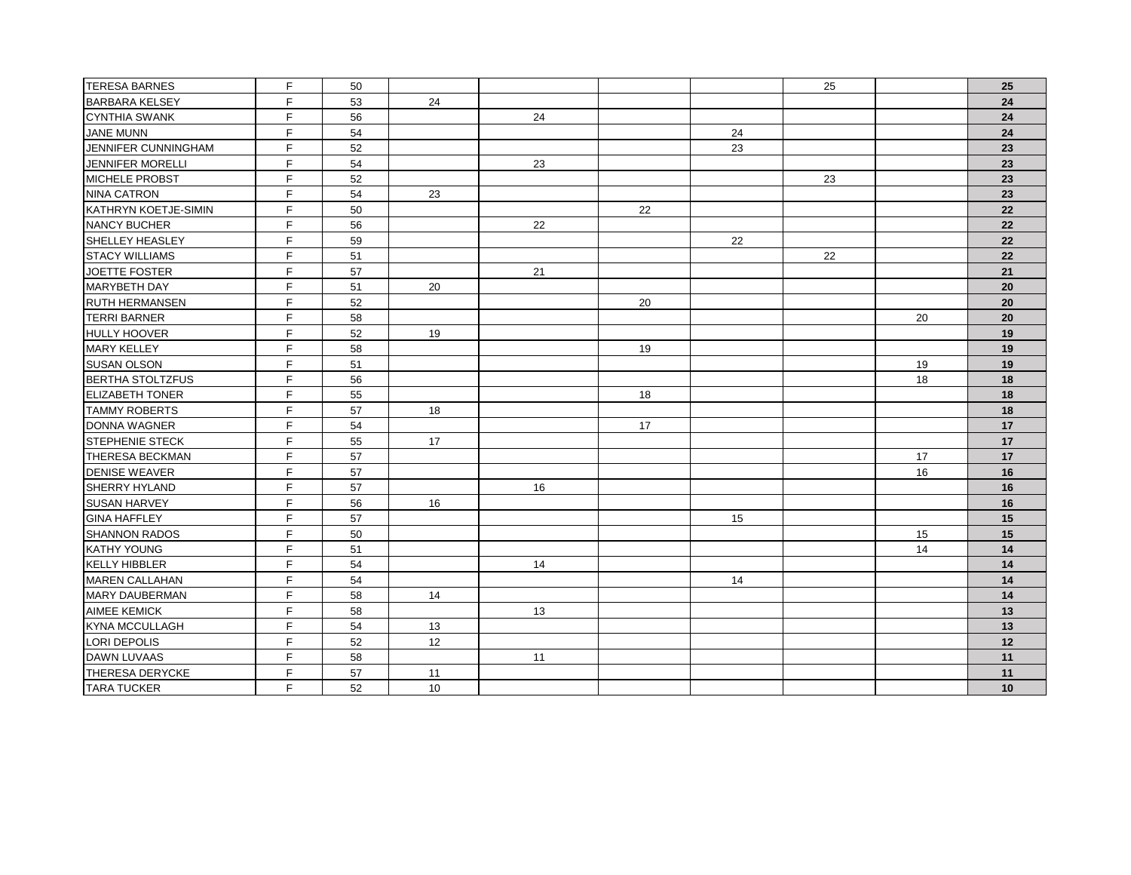| <b>TERESA BARNES</b>        | F  | 50 |    |    |    |    | 25 |    | 25 |
|-----------------------------|----|----|----|----|----|----|----|----|----|
| <b>BARBARA KELSEY</b>       | F  | 53 | 24 |    |    |    |    |    | 24 |
| <b>CYNTHIA SWANK</b>        | F  | 56 |    | 24 |    |    |    |    | 24 |
| <b>JANE MUNN</b>            | F. | 54 |    |    |    | 24 |    |    | 24 |
| JENNIFER CUNNINGHAM         | F. | 52 |    |    |    | 23 |    |    | 23 |
| JENNIFER MORELLI            | F  | 54 |    | 23 |    |    |    |    | 23 |
| <b>MICHELE PROBST</b>       | F. | 52 |    |    |    |    | 23 |    | 23 |
| <b>NINA CATRON</b>          | F  | 54 | 23 |    |    |    |    |    | 23 |
| <b>KATHRYN KOETJE-SIMIN</b> | F  | 50 |    |    | 22 |    |    |    | 22 |
| NANCY BUCHER                | F. | 56 |    | 22 |    |    |    |    | 22 |
| SHELLEY HEASLEY             | F. | 59 |    |    |    | 22 |    |    | 22 |
| <b>STACY WILLIAMS</b>       | F  | 51 |    |    |    |    | 22 |    | 22 |
| JOETTE FOSTER               | F  | 57 |    | 21 |    |    |    |    | 21 |
| MARYBETH DAY                | F  | 51 | 20 |    |    |    |    |    | 20 |
| <b>RUTH HERMANSEN</b>       | F  | 52 |    |    | 20 |    |    |    | 20 |
| <b>TERRI BARNER</b>         | F. | 58 |    |    |    |    |    | 20 | 20 |
| <b>HULLY HOOVER</b>         | F  | 52 | 19 |    |    |    |    |    | 19 |
| <b>MARY KELLEY</b>          | F. | 58 |    |    | 19 |    |    |    | 19 |
| <b>SUSAN OLSON</b>          | F  | 51 |    |    |    |    |    | 19 | 19 |
| <b>BERTHA STOLTZFUS</b>     | F. | 56 |    |    |    |    |    | 18 | 18 |
| <b>ELIZABETH TONER</b>      | F  | 55 |    |    | 18 |    |    |    | 18 |
| <b>TAMMY ROBERTS</b>        | F. | 57 | 18 |    |    |    |    |    | 18 |
| DONNA WAGNER                | F. | 54 |    |    | 17 |    |    |    | 17 |
| <b>STEPHENIE STECK</b>      | F  | 55 | 17 |    |    |    |    |    | 17 |
| <b>THERESA BECKMAN</b>      | F  | 57 |    |    |    |    |    | 17 | 17 |
| <b>DENISE WEAVER</b>        | F  | 57 |    |    |    |    |    | 16 | 16 |
| SHERRY HYLAND               | F. | 57 |    | 16 |    |    |    |    | 16 |
| <b>SUSAN HARVEY</b>         | F. | 56 | 16 |    |    |    |    |    | 16 |
| <b>GINA HAFFLEY</b>         | F  | 57 |    |    |    | 15 |    |    | 15 |
| <b>SHANNON RADOS</b>        | F. | 50 |    |    |    |    |    | 15 | 15 |
| <b>KATHY YOUNG</b>          | F. | 51 |    |    |    |    |    | 14 | 14 |
| <b>KELLY HIBBLER</b>        | F  | 54 |    | 14 |    |    |    |    | 14 |
| <b>MAREN CALLAHAN</b>       | F. | 54 |    |    |    | 14 |    |    | 14 |
| <b>MARY DAUBERMAN</b>       | F. | 58 | 14 |    |    |    |    |    | 14 |
| <b>AIMEE KEMICK</b>         | F  | 58 |    | 13 |    |    |    |    | 13 |
| <b>KYNA MCCULLAGH</b>       | F  | 54 | 13 |    |    |    |    |    | 13 |
| LORI DEPOLIS                | F  | 52 | 12 |    |    |    |    |    | 12 |
| DAWN LUVAAS                 | Ė. | 58 |    | 11 |    |    |    |    | 11 |
| THERESA DERYCKE             | F. | 57 | 11 |    |    |    |    |    | 11 |
| <b>TARA TUCKER</b>          | F. | 52 | 10 |    |    |    |    |    | 10 |